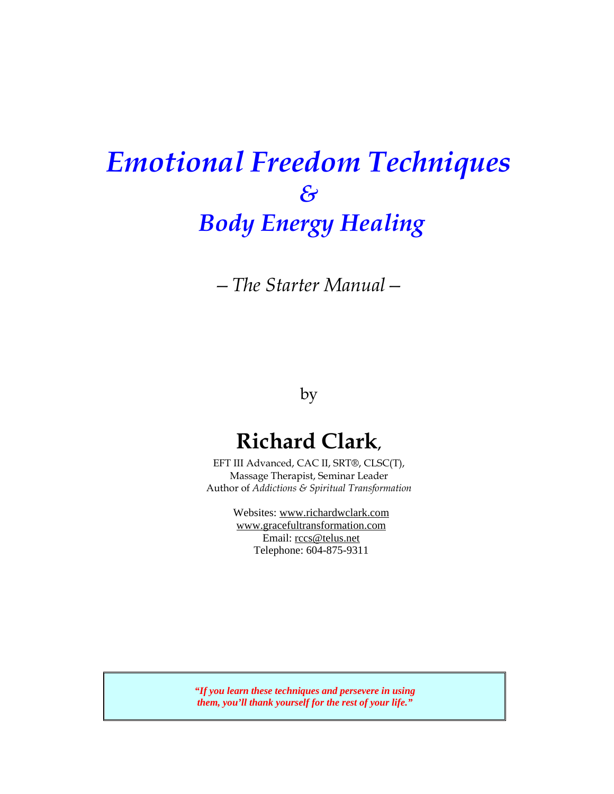# *Emotional Freedom Techniques & Body Energy Healing*

*—The Starter Manual—* 

by

## **Richard Clark,**

EFT III Advanced, CAC II, SRT®, CLSC(T), Massage Therapist, Seminar Leader Author of *Addictions & Spiritual Transformation*

> Websites: www.richardwclark.com www.gracefultransformation.com Email: rccs@telus.net Telephone: 604-875-9311

*"If you learn these techniques and persevere in using them, you'll thank yourself for the rest of your life."*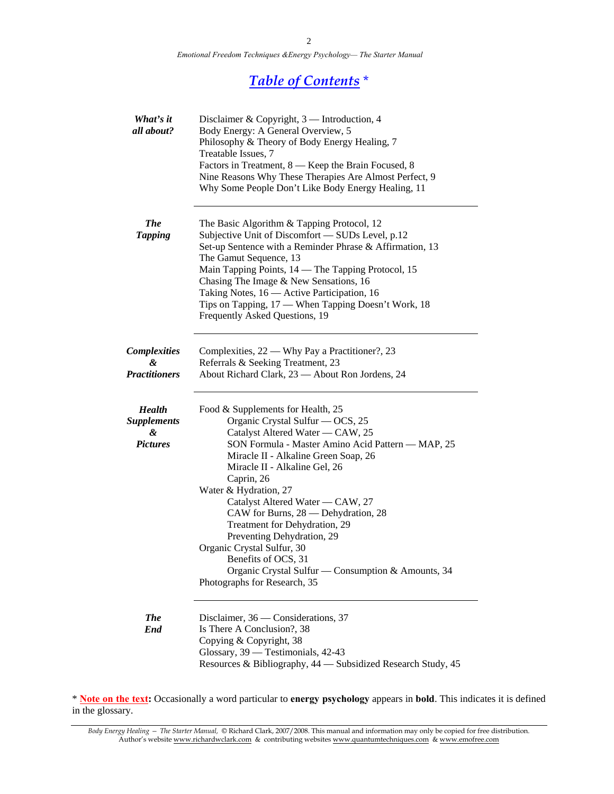*Emotional Freedom Techniques &Energy Psychology— The Starter Manual* 

### *Table of Contents* \*

| What's it<br>all about?                                     | Disclaimer & Copyright, 3 — Introduction, 4<br>Body Energy: A General Overview, 5<br>Philosophy & Theory of Body Energy Healing, 7<br>Treatable Issues, 7<br>Factors in Treatment, 8 — Keep the Brain Focused, 8<br>Nine Reasons Why These Therapies Are Almost Perfect, 9<br>Why Some People Don't Like Body Energy Healing, 11                                                                                                                                                                                                                                    |
|-------------------------------------------------------------|---------------------------------------------------------------------------------------------------------------------------------------------------------------------------------------------------------------------------------------------------------------------------------------------------------------------------------------------------------------------------------------------------------------------------------------------------------------------------------------------------------------------------------------------------------------------|
| <b>The</b><br><b>Tapping</b>                                | The Basic Algorithm & Tapping Protocol, 12<br>Subjective Unit of Discomfort - SUDs Level, p.12<br>Set-up Sentence with a Reminder Phrase & Affirmation, 13<br>The Gamut Sequence, 13<br>Main Tapping Points, 14 - The Tapping Protocol, 15<br>Chasing The Image & New Sensations, 16<br>Taking Notes, 16 - Active Participation, 16<br>Tips on Tapping, 17 — When Tapping Doesn't Work, 18<br>Frequently Asked Questions, 19                                                                                                                                        |
| <b>Complexities</b><br>&<br><b>Practitioners</b>            | Complexities, 22 - Why Pay a Practitioner?, 23<br>Referrals & Seeking Treatment, 23<br>About Richard Clark, 23 - About Ron Jordens, 24                                                                                                                                                                                                                                                                                                                                                                                                                              |
| <b>Health</b><br><b>Supplements</b><br>&<br><b>Pictures</b> | Food & Supplements for Health, 25<br>Organic Crystal Sulfur - OCS, 25<br>Catalyst Altered Water — CAW, 25<br>SON Formula - Master Amino Acid Pattern - MAP, 25<br>Miracle II - Alkaline Green Soap, 26<br>Miracle II - Alkaline Gel, 26<br>Caprin, 26<br>Water & Hydration, 27<br>Catalyst Altered Water — CAW, 27<br>CAW for Burns, 28 — Dehydration, 28<br>Treatment for Dehydration, 29<br>Preventing Dehydration, 29<br>Organic Crystal Sulfur, 30<br>Benefits of OCS, 31<br>Organic Crystal Sulfur — Consumption & Amounts, 34<br>Photographs for Research, 35 |
| <b>The</b><br>End                                           | Disclaimer, 36 — Considerations, 37<br>Is There A Conclusion?, 38<br>Copying & Copyright, 38<br>Glossary, 39 - Testimonials, 42-43<br>Resources & Bibliography, 44 - Subsidized Research Study, 45                                                                                                                                                                                                                                                                                                                                                                  |

\* **Note on the text:** Occasionally a word particular to **energy psychology** appears in **bold**. This indicates it is defined in the glossary.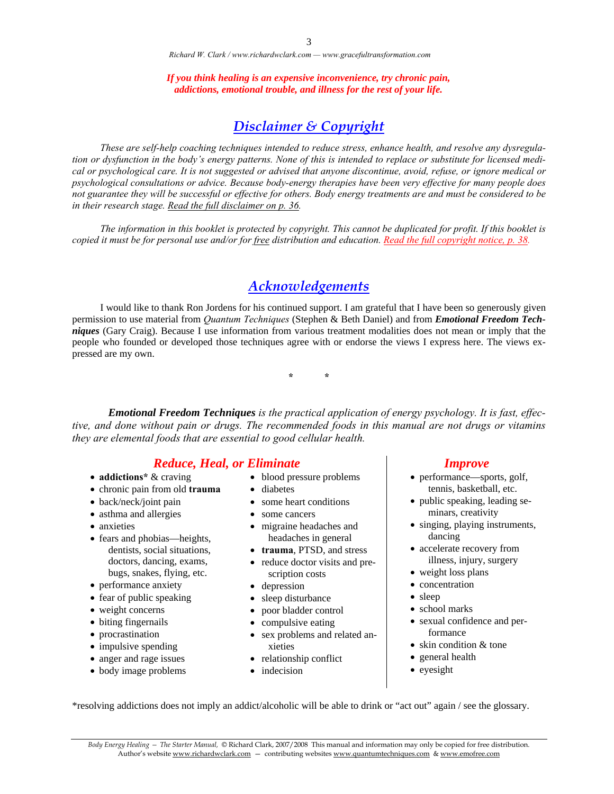*If you think healing is an expensive inconvenience, try chronic pain, addictions, emotional trouble, and illness for the rest of your life.* 

### *Disclaimer & Copyright*

 *These are self-help coaching techniques intended to reduce stress, enhance health, and resolve any dysregulation or dysfunction in the body's energy patterns. None of this is intended to replace or substitute for licensed medical or psychological care. It is not suggested or advised that anyone discontinue, avoid, refuse, or ignore medical or psychological consultations or advice. Because body-energy therapies have been very effective for many people does not guarantee they will be successful or effective for others. Body energy treatments are and must be considered to be in their research stage. Read the full disclaimer on p. 36.* 

 *The information in this booklet is protected by copyright. This cannot be duplicated for profit. If this booklet is copied it must be for personal use and/or for free distribution and education. Read the full copyright notice, p. 38.*

### *Acknowledgements*

 I would like to thank Ron Jordens for his continued support. I am grateful that I have been so generously given permission to use material from *Quantum Techniques* (Stephen & Beth Daniel) and from *Emotional Freedom Techniques* (Gary Craig). Because I use information from various treatment modalities does not mean or imply that the people who founded or developed those techniques agree with or endorse the views I express here. The views expressed are my own.

**\* \*** 

*Emotional Freedom Techniques is the practical application of energy psychology. It is fast, effective, and done without pain or drugs. The recommended foods in this manual are not drugs or vitamins they are elemental foods that are essential to good cellular health.* 

#### *Reduce, Heal, or Eliminate Improve*

- **addictions\*** & craving
- chronic pain from old **trauma**
- back/neck/joint pain
- asthma and allergies
- anxieties
- fears and phobias—heights, dentists, social situations, doctors, dancing, exams, bugs, snakes, flying, etc.
- performance anxiety
- fear of public speaking
- weight concerns
- biting fingernails
- procrastination
- impulsive spending
- anger and rage issues
- body image problems
- blood pressure problems
- diabetes
- some heart conditions
- some cancers
- migraine headaches and headaches in general
- **trauma**, PTSD, and stress
- reduce doctor visits and prescription costs
- depression
- sleep disturbance
- poor bladder control
- compulsive eating
- sex problems and related anxieties
- relationship conflict
- indecision

- performance—sports, golf, tennis, basketball, etc.
- public speaking, leading seminars, creativity
- singing, playing instruments, dancing
- accelerate recovery from illness, injury, surgery
- weight loss plans
- concentration
- sleep
- school marks
- sexual confidence and performance
- skin condition & tone
- general health
- eyesight

\*resolving addictions does not imply an addict/alcoholic will be able to drink or "act out" again / see the glossary.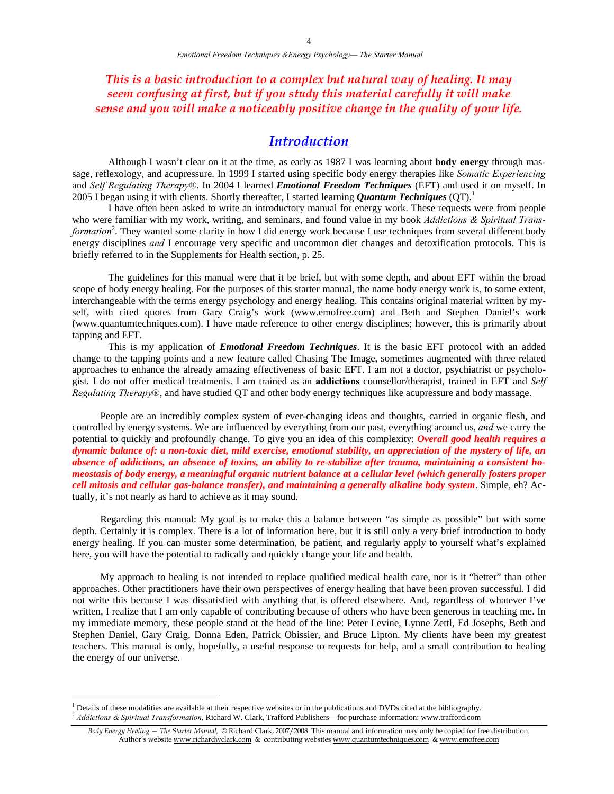*This is a basic introduction to a complex but natural way of healing. It may seem confusing at first, but if you study this material carefully it will make sense and you will make a noticeably positive change in the quality of your life.* 

### *Introduction*

 Although I wasn't clear on it at the time, as early as 1987 I was learning about **body energy** through massage, reflexology, and acupressure. In 1999 I started using specific body energy therapies like *Somatic Experiencing* and *Self Regulating Therapy®*. In 2004 I learned *Emotional Freedom Techniques* (EFT) and used it on myself. In 2005 I began using it with clients. Shortly thereafter, I started learning *Quantum Techniques* (QT).1

I have often been asked to write an introductory manual for energy work. These requests were from people who were familiar with my work, writing, and seminars, and found value in my book *Addictions & Spiritual Trans*formation<sup>2</sup>. They wanted some clarity in how I did energy work because I use techniques from several different body energy disciplines *and* I encourage very specific and uncommon diet changes and detoxification protocols. This is briefly referred to in the Supplements for Health section, p. 25.

 The guidelines for this manual were that it be brief, but with some depth, and about EFT within the broad scope of body energy healing. For the purposes of this starter manual, the name body energy work is, to some extent, interchangeable with the terms energy psychology and energy healing. This contains original material written by myself, with cited quotes from Gary Craig's work (www.emofree.com) and Beth and Stephen Daniel's work (www.quantumtechniques.com). I have made reference to other energy disciplines; however, this is primarily about tapping and EFT.

This is my application of *Emotional Freedom Techniques*. It is the basic EFT protocol with an added change to the tapping points and a new feature called Chasing The Image, sometimes augmented with three related approaches to enhance the already amazing effectiveness of basic EFT. I am not a doctor, psychiatrist or psychologist. I do not offer medical treatments. I am trained as an **addictions** counsellor/therapist, trained in EFT and *Self Regulating Therapy*®, and have studied QT and other body energy techniques like acupressure and body massage.

 People are an incredibly complex system of ever-changing ideas and thoughts, carried in organic flesh, and controlled by energy systems. We are influenced by everything from our past, everything around us, *and* we carry the potential to quickly and profoundly change. To give you an idea of this complexity: *Overall good health requires a dynamic balance of: a non-toxic diet, mild exercise, emotional stability, an appreciation of the mystery of life, an absence of addictions, an absence of toxins, an ability to re-stabilize after trauma, maintaining a consistent homeostasis of body energy, a meaningful organic nutrient balance at a cellular level (which generally fosters proper cell mitosis and cellular gas-balance transfer), and maintaining a generally alkaline body system*. Simple, eh? Actually, it's not nearly as hard to achieve as it may sound.

 Regarding this manual: My goal is to make this a balance between "as simple as possible" but with some depth. Certainly it is complex. There is a lot of information here, but it is still only a very brief introduction to body energy healing. If you can muster some determination, be patient, and regularly apply to yourself what's explained here, you will have the potential to radically and quickly change your life and health.

 My approach to healing is not intended to replace qualified medical health care, nor is it "better" than other approaches. Other practitioners have their own perspectives of energy healing that have been proven successful. I did not write this because I was dissatisfied with anything that is offered elsewhere. And, regardless of whatever I've written, I realize that I am only capable of contributing because of others who have been generous in teaching me. In my immediate memory, these people stand at the head of the line: Peter Levine, Lynne Zettl, Ed Josephs, Beth and Stephen Daniel, Gary Craig, Donna Eden, Patrick Obissier, and Bruce Lipton. My clients have been my greatest teachers. This manual is only, hopefully, a useful response to requests for help, and a small contribution to healing the energy of our universe.

 $\overline{a}$ 

<sup>&</sup>lt;sup>1</sup> Details of these modalities are available at their respective websites or in the publications and DVDs cited at the bibliography. <sup>2</sup> Addictions & Spiritual Transformation, Richard W. Clark, Trafford Publishers—for purchase information: www.trafford.com

*Body Energy Healing — The Starter Manual,* © Richard Clark, 2007/2008. This manual and information may only be copied for free distribution. Author's website www.richardwclark.com & contributing websites www.quantumtechniques.com & www.emofree.com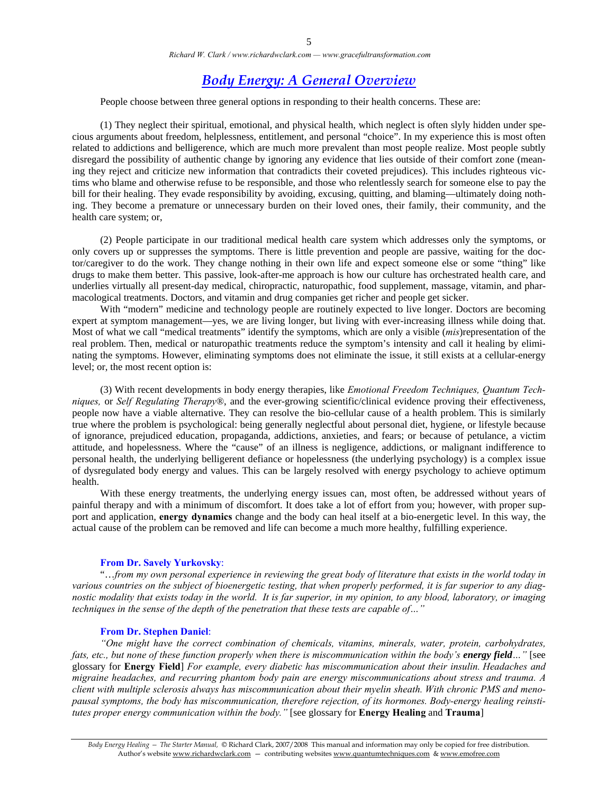### *Body Energy: A General Overview*

People choose between three general options in responding to their health concerns. These are:

 (1) They neglect their spiritual, emotional, and physical health, which neglect is often slyly hidden under specious arguments about freedom, helplessness, entitlement, and personal "choice". In my experience this is most often related to addictions and belligerence, which are much more prevalent than most people realize. Most people subtly disregard the possibility of authentic change by ignoring any evidence that lies outside of their comfort zone (meaning they reject and criticize new information that contradicts their coveted prejudices). This includes righteous victims who blame and otherwise refuse to be responsible, and those who relentlessly search for someone else to pay the bill for their healing. They evade responsibility by avoiding, excusing, quitting, and blaming—ultimately doing nothing. They become a premature or unnecessary burden on their loved ones, their family, their community, and the health care system; or,

 (2) People participate in our traditional medical health care system which addresses only the symptoms, or only covers up or suppresses the symptoms. There is little prevention and people are passive, waiting for the doctor/caregiver to do the work. They change nothing in their own life and expect someone else or some "thing" like drugs to make them better. This passive, look-after-me approach is how our culture has orchestrated health care, and underlies virtually all present-day medical, chiropractic, naturopathic, food supplement, massage, vitamin, and pharmacological treatments. Doctors, and vitamin and drug companies get richer and people get sicker.

With "modern" medicine and technology people are routinely expected to live longer. Doctors are becoming expert at symptom management—yes, we are living longer, but living with ever-increasing illness while doing that. Most of what we call "medical treatments" identify the symptoms, which are only a visible (*mis*)representation of the real problem. Then, medical or naturopathic treatments reduce the symptom's intensity and call it healing by eliminating the symptoms. However, eliminating symptoms does not eliminate the issue, it still exists at a cellular-energy level; or, the most recent option is:

 (3) With recent developments in body energy therapies, like *Emotional Freedom Techniques, Quantum Techniques,* or *Self Regulating Therapy*®, and the ever-growing scientific/clinical evidence proving their effectiveness, people now have a viable alternative. They can resolve the bio-cellular cause of a health problem. This is similarly true where the problem is psychological: being generally neglectful about personal diet, hygiene, or lifestyle because of ignorance, prejudiced education, propaganda, addictions, anxieties, and fears; or because of petulance, a victim attitude, and hopelessness. Where the "cause" of an illness is negligence, addictions, or malignant indifference to personal health, the underlying belligerent defiance or hopelessness (the underlying psychology) is a complex issue of dysregulated body energy and values. This can be largely resolved with energy psychology to achieve optimum health.

 With these energy treatments, the underlying energy issues can, most often, be addressed without years of painful therapy and with a minimum of discomfort. It does take a lot of effort from you; however, with proper support and application, **energy dynamics** change and the body can heal itself at a bio-energetic level. In this way, the actual cause of the problem can be removed and life can become a much more healthy, fulfilling experience.

#### **From Dr. Savely Yurkovsky**:

 "…*from my own personal experience in reviewing the great body of literature that exists in the world today in various countries on the subject of bioenergetic testing, that when properly performed, it is far superior to any diagnostic modality that exists today in the world. It is far superior, in my opinion, to any blood, laboratory, or imaging techniques in the sense of the depth of the penetration that these tests are capable of…"* 

#### **From Dr. Stephen Daniel**:

*"One might have the correct combination of chemicals, vitamins, minerals, water, protein, carbohydrates, fats, etc., but none of these function properly when there is miscommunication within the body's energy field..."* [see glossary for **Energy Field**] *For example, every diabetic has miscommunication about their insulin. Headaches and migraine headaches, and recurring phantom body pain are energy miscommunications about stress and trauma. A client with multiple sclerosis always has miscommunication about their myelin sheath. With chronic PMS and menopausal symptoms, the body has miscommunication, therefore rejection, of its hormones. Body-energy healing reinstitutes proper energy communication within the body."* [see glossary for **Energy Healing** and **Trauma**]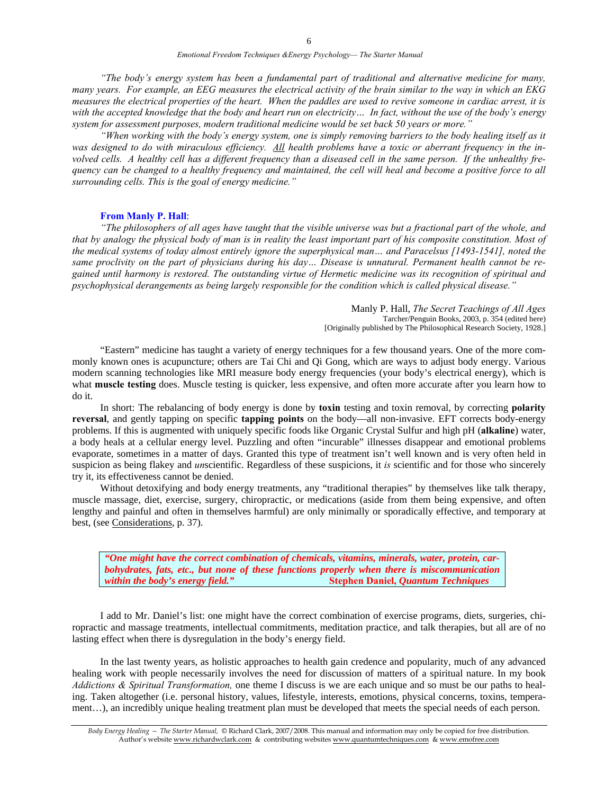*"The body's energy system has been a fundamental part of traditional and alternative medicine for many, many years. For example, an EEG measures the electrical activity of the brain similar to the way in which an EKG measures the electrical properties of the heart. When the paddles are used to revive someone in cardiac arrest, it is with the accepted knowledge that the body and heart run on electricity… In fact, without the use of the body's energy system for assessment purposes, modern traditional medicine would be set back 50 years or more."* 

 *"When working with the body's energy system, one is simply removing barriers to the body healing itself as it was designed to do with miraculous efficiency. All health problems have a toxic or aberrant frequency in the involved cells. A healthy cell has a different frequency than a diseased cell in the same person. If the unhealthy frequency can be changed to a healthy frequency and maintained, the cell will heal and become a positive force to all surrounding cells. This is the goal of energy medicine."* 

#### **From Manly P. Hall**:

 *"The philosophers of all ages have taught that the visible universe was but a fractional part of the whole, and that by analogy the physical body of man is in reality the least important part of his composite constitution. Most of the medical systems of today almost entirely ignore the superphysical man… and Paracelsus [1493-1541], noted the same proclivity on the part of physicians during his day… Disease is unnatural. Permanent health cannot be regained until harmony is restored. The outstanding virtue of Hermetic medicine was its recognition of spiritual and psychophysical derangements as being largely responsible for the condition which is called physical disease."*

> Manly P. Hall, *The Secret Teachings of All Ages* Tarcher/Penguin Books, 2003, p. 354 (edited here) [Originally published by The Philosophical Research Society, 1928.]

"Eastern" medicine has taught a variety of energy techniques for a few thousand years. One of the more commonly known ones is acupuncture; others are Tai Chi and Qi Gong, which are ways to adjust body energy. Various modern scanning technologies like MRI measure body energy frequencies (your body's electrical energy), which is what **muscle testing** does. Muscle testing is quicker, less expensive, and often more accurate after you learn how to do it.

 In short: The rebalancing of body energy is done by **toxin** testing and toxin removal, by correcting **polarity reversal**, and gently tapping on specific **tapping points** on the body—all non-invasive. EFT corrects body-energy problems. If this is augmented with uniquely specific foods like Organic Crystal Sulfur and high pH (**alkaline**) water, a body heals at a cellular energy level. Puzzling and often "incurable" illnesses disappear and emotional problems evaporate, sometimes in a matter of days. Granted this type of treatment isn't well known and is very often held in suspicion as being flakey and *un*scientific. Regardless of these suspicions, it *is* scientific and for those who sincerely try it, its effectiveness cannot be denied.

 Without detoxifying and body energy treatments, any "traditional therapies" by themselves like talk therapy, muscle massage, diet, exercise, surgery, chiropractic, or medications (aside from them being expensive, and often lengthy and painful and often in themselves harmful) are only minimally or sporadically effective, and temporary at best, (see Considerations, p. 37).

*"One might have the correct combination of chemicals, vitamins, minerals, water, protein, carbohydrates, fats, etc., but none of these functions properly when there is miscommunication within the body's energy field."* **Stephen Daniel,** *Quantum Techniques*

 I add to Mr. Daniel's list: one might have the correct combination of exercise programs, diets, surgeries, chiropractic and massage treatments, intellectual commitments, meditation practice, and talk therapies, but all are of no lasting effect when there is dysregulation in the body's energy field.

 In the last twenty years, as holistic approaches to health gain credence and popularity, much of any advanced healing work with people necessarily involves the need for discussion of matters of a spiritual nature. In my book *Addictions & Spiritual Transformation,* one theme I discuss is we are each unique and so must be our paths to healing. Taken altogether (i.e. personal history, values, lifestyle, interests, emotions, physical concerns, toxins, temperament…), an incredibly unique healing treatment plan must be developed that meets the special needs of each person.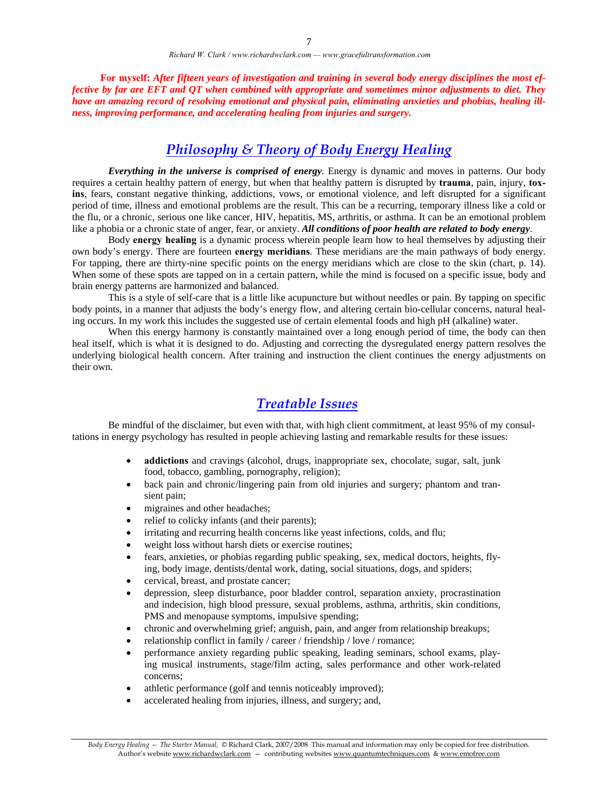**For myself:** *After fifteen years of investigation and training in several body energy disciplines the most effective by far are EFT and QT when combined with appropriate and sometimes minor adjustments to diet. They have an amazing record of resolving emotional and physical pain, eliminating anxieties and phobias, healing illness, improving performance, and accelerating healing from injuries and surgery.*

### *Philosophy & Theory of Body Energy Healing*

*Everything in the universe is comprised of energy*. Energy is dynamic and moves in patterns. Our body requires a certain healthy pattern of energy, but when that healthy pattern is disrupted by **trauma**, pain, injury, **toxins**, fears, constant negative thinking, addictions, vows, or emotional violence, and left disrupted for a significant period of time, illness and emotional problems are the result. This can be a recurring, temporary illness like a cold or the flu, or a chronic, serious one like cancer, HIV, hepatitis, MS, arthritis, or asthma. It can be an emotional problem like a phobia or a chronic state of anger, fear, or anxiety. *All conditions of poor health are related to body energy*.

 Body **energy healing** is a dynamic process wherein people learn how to heal themselves by adjusting their own body's energy. There are fourteen **energy meridians**. These meridians are the main pathways of body energy. For tapping, there are thirty-nine specific points on the energy meridians which are close to the skin (chart, p. 14). When some of these spots are tapped on in a certain pattern, while the mind is focused on a specific issue, body and brain energy patterns are harmonized and balanced.

This is a style of self-care that is a little like acupuncture but without needles or pain. By tapping on specific body points, in a manner that adjusts the body's energy flow, and altering certain bio-cellular concerns, natural healing occurs. In my work this includes the suggested use of certain elemental foods and high pH (alkaline) water.

When this energy harmony is constantly maintained over a long enough period of time, the body can then heal itself, which is what it is designed to do. Adjusting and correcting the dysregulated energy pattern resolves the underlying biological health concern. After training and instruction the client continues the energy adjustments on their own.

### *Treatable Issues*

 Be mindful of the disclaimer, but even with that, with high client commitment, at least 95% of my consultations in energy psychology has resulted in people achieving lasting and remarkable results for these issues:

- **addictions** and cravings (alcohol, drugs, inappropriate sex, chocolate, sugar, salt, junk food, tobacco, gambling, pornography, religion);
- back pain and chronic/lingering pain from old injuries and surgery; phantom and transient pain;
- migraines and other headaches;
- relief to colicky infants (and their parents);
- irritating and recurring health concerns like yeast infections, colds, and flu;
- weight loss without harsh diets or exercise routines;
- fears, anxieties, or phobias regarding public speaking, sex, medical doctors, heights, flying, body image, dentists/dental work, dating, social situations, dogs, and spiders;
- cervical, breast, and prostate cancer;
- depression, sleep disturbance, poor bladder control, separation anxiety, procrastination and indecision, high blood pressure, sexual problems, asthma, arthritis, skin conditions, PMS and menopause symptoms, impulsive spending;
- chronic and overwhelming grief; anguish, pain, and anger from relationship breakups;
- relationship conflict in family / career / friendship / love / romance;
- performance anxiety regarding public speaking, leading seminars, school exams, playing musical instruments, stage/film acting, sales performance and other work-related concerns;
- athletic performance (golf and tennis noticeably improved);
- accelerated healing from injuries, illness, and surgery; and,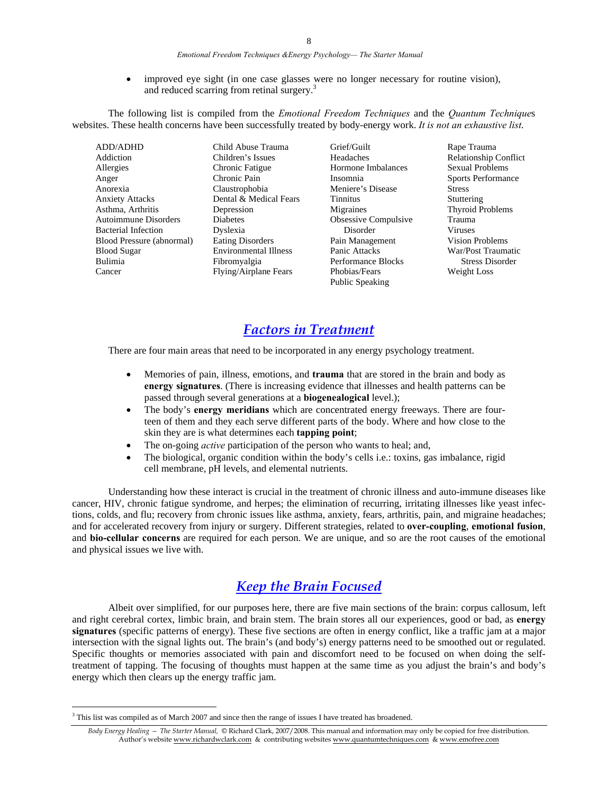#### *Emotional Freedom Techniques &Energy Psychology— The Starter Manual*

• improved eye sight (in one case glasses were no longer necessary for routine vision), and reduced scarring from retinal surgery.<sup>3</sup>

 The following list is compiled from the *Emotional Freedom Techniques* and the *Quantum Technique*s websites. These health concerns have been successfully treated by body-energy work. *It is not an exhaustive list*.

| <b>ADD/ADHD</b>             | Child Abuse Trauma           |
|-----------------------------|------------------------------|
| Addiction                   | Children's Issues            |
| Allergies                   | Chronic Fatigue              |
| Anger                       | Chronic Pain                 |
| Anorexia                    | Claustrophobia               |
| <b>Anxiety Attacks</b>      | Dental & Medical Fears       |
| Asthma, Arthritis           | Depression                   |
| <b>Autoimmune Disorders</b> | <b>Diabetes</b>              |
| <b>Bacterial Infection</b>  | Dyslexia                     |
| Blood Pressure (abnormal)   | <b>Eating Disorders</b>      |
| <b>Blood Sugar</b>          | <b>Environmental Illness</b> |
| Bulimia                     | Fibromyalgia                 |
| Cancer                      | Flying/Airplane Fears        |
|                             |                              |

Grief/Guilt Headaches Hormone Imbalances Insomnia Meniere's Disease Tinnitus Migraines Obsessive Compulsive Disorder Pain Management Panic Attacks Performance Blocks Phobias/Fears Public Speaking

Rape Trauma Relationship Conflict Sexual Problems Sports Performance Stress Stuttering Thyroid Problems Trauma Viruses Vision Problems War/Post Traumatic Stress Disorder Weight Loss

### *Factors in Treatment*

There are four main areas that need to be incorporated in any energy psychology treatment.

- Memories of pain, illness, emotions, and **trauma** that are stored in the brain and body as **energy signatures**. (There is increasing evidence that illnesses and health patterns can be passed through several generations at a **biogenealogical** level.);
- The body's **energy meridians** which are concentrated energy freeways. There are fourteen of them and they each serve different parts of the body. Where and how close to the skin they are is what determines each **tapping point**;
- The on-going *active* participation of the person who wants to heal; and,
- The biological, organic condition within the body's cells i.e.: toxins, gas imbalance, rigid cell membrane, pH levels, and elemental nutrients.

Understanding how these interact is crucial in the treatment of chronic illness and auto-immune diseases like cancer, HIV, chronic fatigue syndrome, and herpes; the elimination of recurring, irritating illnesses like yeast infections, colds, and flu; recovery from chronic issues like asthma, anxiety, fears, arthritis, pain, and migraine headaches; and for accelerated recovery from injury or surgery. Different strategies, related to **over-coupling**, **emotional fusion**, and **bio-cellular concerns** are required for each person. We are unique, and so are the root causes of the emotional and physical issues we live with.

### *Keep the Brain Focused*

Albeit over simplified, for our purposes here, there are five main sections of the brain: corpus callosum, left and right cerebral cortex, limbic brain, and brain stem. The brain stores all our experiences, good or bad, as **energy signatures** (specific patterns of energy). These five sections are often in energy conflict, like a traffic jam at a major intersection with the signal lights out. The brain's (and body's) energy patterns need to be smoothed out or regulated. Specific thoughts or memories associated with pain and discomfort need to be focused on when doing the selftreatment of tapping. The focusing of thoughts must happen at the same time as you adjust the brain's and body's energy which then clears up the energy traffic jam.

 $\overline{a}$ 

<sup>&</sup>lt;sup>3</sup> This list was compiled as of March 2007 and since then the range of issues I have treated has broadened.

*Body Energy Healing — The Starter Manual,* © Richard Clark, 2007/2008. This manual and information may only be copied for free distribution. Author's website www.richardwclark.com & contributing websites www.quantumtechniques.com & www.emofree.com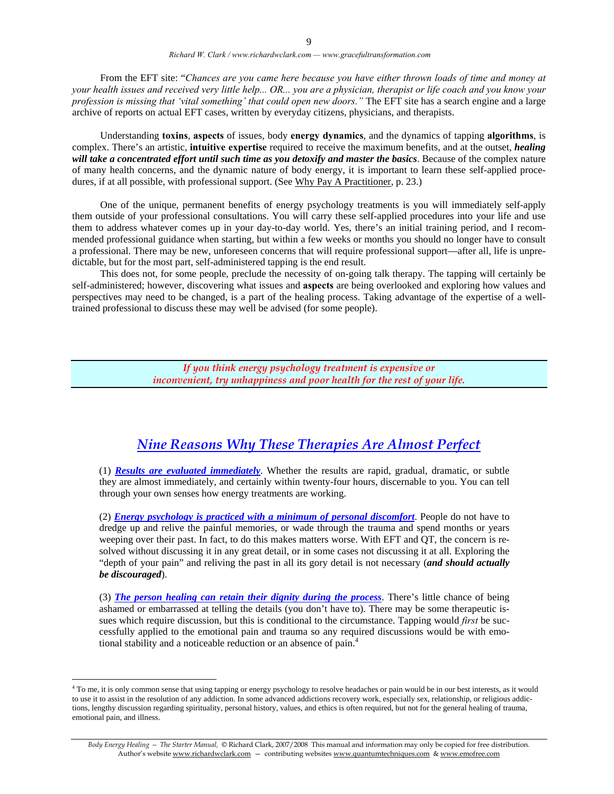From the EFT site: "*Chances are you came here because you have either thrown loads of time and money at your health issues and received very little help... OR... you are a physician, therapist or life coach and you know your profession is missing that 'vital something' that could open new doors."* The EFT site has a search engine and a large archive of reports on actual EFT cases, written by everyday citizens, physicians, and therapists.

 Understanding **toxins**, **aspects** of issues, body **energy dynamics**, and the dynamics of tapping **algorithms**, is complex. There's an artistic, **intuitive expertise** required to receive the maximum benefits, and at the outset, *healing will take a concentrated effort until such time as you detoxify and master the basics*. Because of the complex nature of many health concerns, and the dynamic nature of body energy, it is important to learn these self-applied procedures, if at all possible, with professional support. (See Why Pay A Practitioner, p. 23.)

 One of the unique, permanent benefits of energy psychology treatments is you will immediately self-apply them outside of your professional consultations. You will carry these self-applied procedures into your life and use them to address whatever comes up in your day-to-day world. Yes, there's an initial training period, and I recommended professional guidance when starting, but within a few weeks or months you should no longer have to consult a professional. There may be new, unforeseen concerns that will require professional support—after all, life is unpredictable, but for the most part, self-administered tapping is the end result.

 This does not, for some people, preclude the necessity of on-going talk therapy. The tapping will certainly be self-administered; however, discovering what issues and **aspects** are being overlooked and exploring how values and perspectives may need to be changed, is a part of the healing process. Taking advantage of the expertise of a welltrained professional to discuss these may well be advised (for some people).

> *If you think energy psychology treatment is expensive or inconvenient, try unhappiness and poor health for the rest of your life.*

### *Nine Reasons Why These Therapies Are Almost Perfect*

(1) *Results are evaluated immediately*. Whether the results are rapid, gradual, dramatic, or subtle they are almost immediately, and certainly within twenty-four hours, discernable to you. You can tell through your own senses how energy treatments are working.

(2) *Energy psychology is practiced with a minimum of personal discomfort*. People do not have to dredge up and relive the painful memories, or wade through the trauma and spend months or years weeping over their past. In fact, to do this makes matters worse. With EFT and QT, the concern is resolved without discussing it in any great detail, or in some cases not discussing it at all. Exploring the "depth of your pain" and reliving the past in all its gory detail is not necessary (*and should actually be discouraged*).

(3) *The person healing can retain their dignity during the process*. There's little chance of being ashamed or embarrassed at telling the details (you don't have to). There may be some therapeutic issues which require discussion, but this is conditional to the circumstance. Tapping would *first* be successfully applied to the emotional pain and trauma so any required discussions would be with emotional stability and a noticeable reduction or an absence of pain.4

 $\overline{a}$ 

<sup>&</sup>lt;sup>4</sup> To me, it is only common sense that using tapping or energy psychology to resolve headaches or pain would be in our best interests, as it would to use it to assist in the resolution of any addiction. In some advanced addictions recovery work, especially sex, relationship, or religious addictions, lengthy discussion regarding spirituality, personal history, values, and ethics is often required, but not for the general healing of trauma, emotional pain, and illness.

*Body Energy Healing — The Starter Manual,* © Richard Clark, 2007/2008 This manual and information may only be copied for free distribution. Author's website www.richardwclark.com - contributing websites www.quantumtechniques.com & www.emofree.com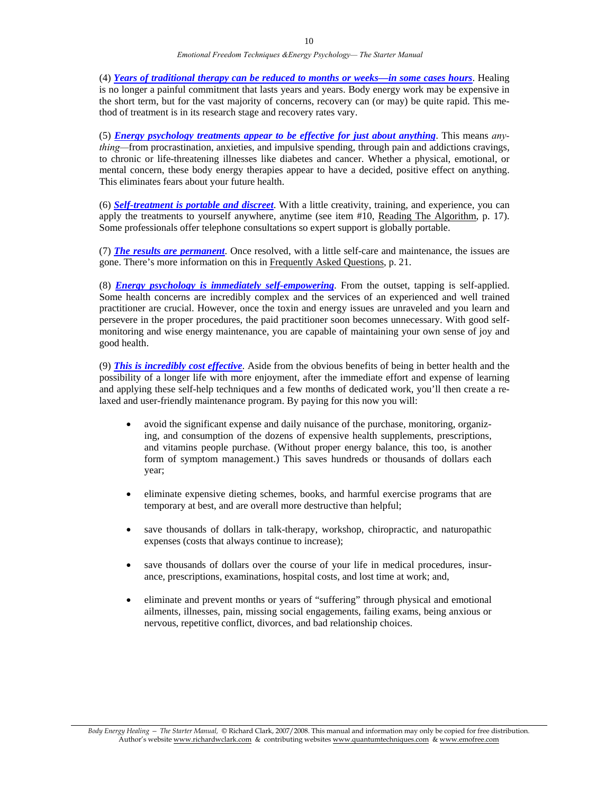(4) *Years of traditional therapy can be reduced to months or weeks—in some cases hours*. Healing is no longer a painful commitment that lasts years and years. Body energy work may be expensive in the short term, but for the vast majority of concerns, recovery can (or may) be quite rapid. This method of treatment is in its research stage and recovery rates vary.

(5) *Energy psychology treatments appear to be effective for just about anything*. This means *anything—from procrastination, anxieties, and impulsive spending, through pain and addictions cravings,* to chronic or life-threatening illnesses like diabetes and cancer. Whether a physical, emotional, or mental concern, these body energy therapies appear to have a decided, positive effect on anything. This eliminates fears about your future health.

(6) *Self-treatment is portable and discreet*. With a little creativity, training, and experience, you can apply the treatments to yourself anywhere, anytime (see item #10, Reading The Algorithm, p. 17). Some professionals offer telephone consultations so expert support is globally portable.

(7) *The results are permanent*. Once resolved, with a little self-care and maintenance, the issues are gone. There's more information on this in Frequently Asked Questions, p. 21.

(8) *Energy psychology is immediately self-empowering*. From the outset, tapping is self-applied. Some health concerns are incredibly complex and the services of an experienced and well trained practitioner are crucial. However, once the toxin and energy issues are unraveled and you learn and persevere in the proper procedures, the paid practitioner soon becomes unnecessary. With good selfmonitoring and wise energy maintenance, you are capable of maintaining your own sense of joy and good health.

(9) *This is incredibly cost effective*. Aside from the obvious benefits of being in better health and the possibility of a longer life with more enjoyment, after the immediate effort and expense of learning and applying these self-help techniques and a few months of dedicated work, you'll then create a relaxed and user-friendly maintenance program. By paying for this now you will:

- avoid the significant expense and daily nuisance of the purchase, monitoring, organizing, and consumption of the dozens of expensive health supplements, prescriptions, and vitamins people purchase. (Without proper energy balance, this too, is another form of symptom management.) This saves hundreds or thousands of dollars each year;
- eliminate expensive dieting schemes, books, and harmful exercise programs that are temporary at best, and are overall more destructive than helpful;
- save thousands of dollars in talk-therapy, workshop, chiropractic, and naturopathic expenses (costs that always continue to increase);
- save thousands of dollars over the course of your life in medical procedures, insurance, prescriptions, examinations, hospital costs, and lost time at work; and,
- eliminate and prevent months or years of "suffering" through physical and emotional ailments, illnesses, pain, missing social engagements, failing exams, being anxious or nervous, repetitive conflict, divorces, and bad relationship choices.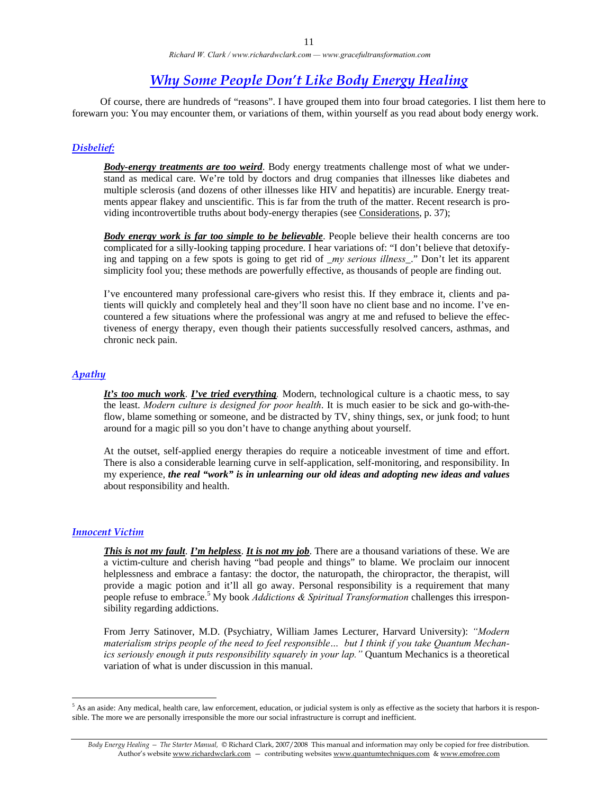### *Why Some People Don't Like Body Energy Healing*

 Of course, there are hundreds of "reasons". I have grouped them into four broad categories. I list them here to forewarn you: You may encounter them, or variations of them, within yourself as you read about body energy work.

#### *Disbelief:*

*Body-energy treatments are too weird*. Body energy treatments challenge most of what we understand as medical care. We're told by doctors and drug companies that illnesses like diabetes and multiple sclerosis (and dozens of other illnesses like HIV and hepatitis) are incurable. Energy treatments appear flakey and unscientific. This is far from the truth of the matter. Recent research is providing incontrovertible truths about body-energy therapies (see Considerations, p. 37);

*Body energy work is far too simple to be believable*. People believe their health concerns are too complicated for a silly-looking tapping procedure. I hear variations of: "I don't believe that detoxifying and tapping on a few spots is going to get rid of \_*my serious illness*\_." Don't let its apparent simplicity fool you; these methods are powerfully effective, as thousands of people are finding out.

I've encountered many professional care-givers who resist this. If they embrace it, clients and patients will quickly and completely heal and they'll soon have no client base and no income. I've encountered a few situations where the professional was angry at me and refused to believe the effectiveness of energy therapy, even though their patients successfully resolved cancers, asthmas, and chronic neck pain.

#### *Apathy*

*It's too much work*. *I've tried everything.* Modern, technological culture is a chaotic mess, to say the least. *Modern culture is designed for poor health*. It is much easier to be sick and go-with-theflow, blame something or someone, and be distracted by TV, shiny things, sex, or junk food; to hunt around for a magic pill so you don't have to change anything about yourself.

At the outset, self-applied energy therapies do require a noticeable investment of time and effort. There is also a considerable learning curve in self-application, self-monitoring, and responsibility. In my experience, *the real "work" is in unlearning our old ideas and adopting new ideas and values* about responsibility and health.

#### *Innocent Victim*

 $\overline{a}$ 

*This is not my fault*. *I'm helpless*. *It is not my job*. There are a thousand variations of these. We are a victim-culture and cherish having "bad people and things" to blame. We proclaim our innocent helplessness and embrace a fantasy: the doctor, the naturopath, the chiropractor, the therapist, will provide a magic potion and it'll all go away. Personal responsibility is a requirement that many people refuse to embrace.<sup>5</sup> My book *Addictions & Spiritual Transformation* challenges this irresponsibility regarding addictions.

From Jerry Satinover, M.D. (Psychiatry, William James Lecturer, Harvard University): *"Modern materialism strips people of the need to feel responsible… but I think if you take Quantum Mechanics seriously enough it puts responsibility squarely in your lap."* Quantum Mechanics is a theoretical variation of what is under discussion in this manual.

 $<sup>5</sup>$  As an aside: Any medical, health care, law enforcement, education, or judicial system is only as effective as the society that harbors it is respon-</sup> sible. The more we are personally irresponsible the more our social infrastructure is corrupt and inefficient.

*Body Energy Healing — The Starter Manual,* © Richard Clark, 2007/2008 This manual and information may only be copied for free distribution. Author's website www.richardwclark.com - contributing websites www.quantumtechniques.com & www.emofree.com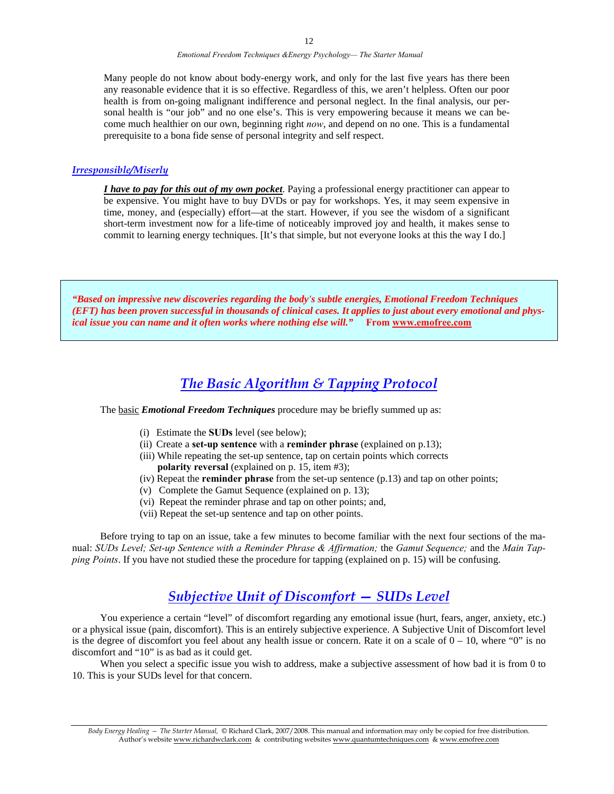Many people do not know about body-energy work, and only for the last five years has there been any reasonable evidence that it is so effective. Regardless of this, we aren't helpless. Often our poor health is from on-going malignant indifference and personal neglect. In the final analysis, our personal health is "our job" and no one else's. This is very empowering because it means we can become much healthier on our own, beginning right *now*, and depend on no one. This is a fundamental prerequisite to a bona fide sense of personal integrity and self respect.

#### *Irresponsible/Miserly*

*I have to pay for this out of my own pocket*. Paying a professional energy practitioner can appear to be expensive. You might have to buy DVDs or pay for workshops. Yes, it may seem expensive in time, money, and (especially) effort—at the start. However, if you see the wisdom of a significant short-term investment now for a life-time of noticeably improved joy and health, it makes sense to commit to learning energy techniques. [It's that simple, but not everyone looks at this the way I do.]

*"Based on impressive new discoveries regarding the body's subtle energies, Emotional Freedom Techniques (EFT) has been proven successful in thousands of clinical cases. It applies to just about every emotional and physical issue you can name and it often works where nothing else will."* **From www.emofree.com**

### *The Basic Algorithm & Tapping Protocol*

The basic *Emotional Freedom Techniques* procedure may be briefly summed up as:

- (i) Estimate the **SUDs** level (see below);
- (ii) Create a **set-up sentence** with a **reminder phrase** (explained on p.13);
- (iii) While repeating the set-up sentence, tap on certain points which corrects **polarity reversal** (explained on p. 15, item #3);
- (iv) Repeat the **reminder phrase** from the set-up sentence (p.13) and tap on other points;
- (v) Complete the Gamut Sequence (explained on p. 13);
- (vi) Repeat the reminder phrase and tap on other points; and,
- (vii) Repeat the set-up sentence and tap on other points.

 Before trying to tap on an issue, take a few minutes to become familiar with the next four sections of the manual: *SUDs Level; Set-up Sentence with a Reminder Phrase & Affirmation;* the *Gamut Sequence;* and the *Main Tapping Points*. If you have not studied these the procedure for tapping (explained on p. 15) will be confusing.

### *Subjective Unit of Discomfort — SUDs Level*

You experience a certain "level" of discomfort regarding any emotional issue (hurt, fears, anger, anxiety, etc.) or a physical issue (pain, discomfort). This is an entirely subjective experience. A Subjective Unit of Discomfort level is the degree of discomfort you feel about any health issue or concern. Rate it on a scale of  $0 - 10$ , where "0" is no discomfort and "10" is as bad as it could get.

When you select a specific issue you wish to address, make a subjective assessment of how bad it is from 0 to 10. This is your SUDs level for that concern.

*Body Energy Healing — The Starter Manual,* © Richard Clark, 2007/2008. This manual and information may only be copied for free distribution. Author's website www.richardwclark.com & contributing websites www.quantumtechniques.com & www.emofree.com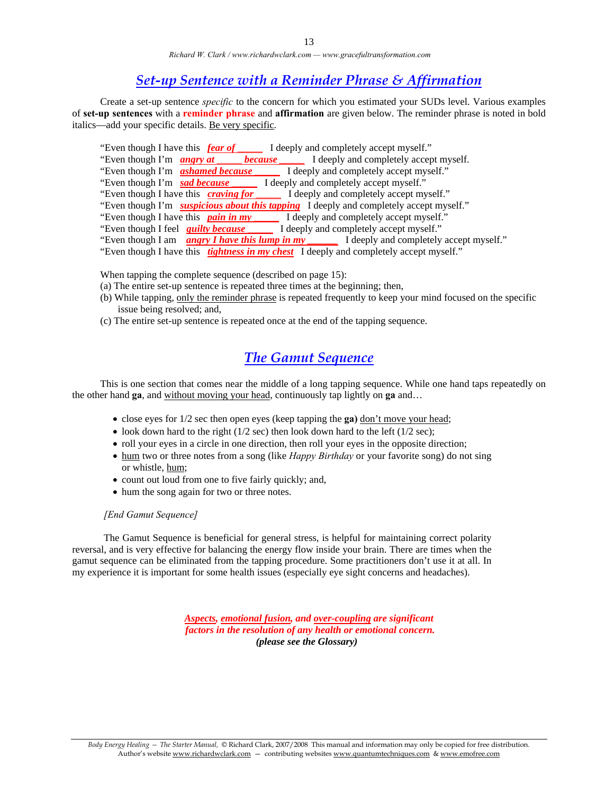### *Set-up Sentence with a Reminder Phrase & Affirmation*

 Create a set-up sentence *specific* to the concern for which you estimated your SUDs level. Various examples of **set-up sentences** with a **reminder phrase** and **affirmation** are given below. The reminder phrase is noted in bold italics—add your specific details. Be very specific.

- "Even though I have this *fear of* \_\_\_\_\_ I deeply and completely accept myself."
- "Even though I'm **angry at because** I deeply and completely accept myself."<br>"Even though I'm **ashamed because** I deeply and completely accept myself."
- "Even though I'm *ashamed because*
- "Even though I'm **sad because** \_\_\_\_\_\_\_ I deeply and completely accept myself."
- "Even though I have this*craving for* \_\_\_\_\_ I deeply and completely accept myself."
- "Even though I'm **suspicious about this tapping** I deeply and completely accept myself."<br>"Even though I have this **pain in my** I deeply and completely accept myself."
- I deeply and completely accept myself."
- "Even though I feel *guilty because* \_\_\_\_\_ I deeply and completely accept myself."
- "Even though I am *angry I have this lump in my \_\_\_\_\_\_* I deeply and completely accept myself."
- "Even though I have this *tightness in my chest* I deeply and completely accept myself."

When tapping the complete sequence (described on page 15):

- (a) The entire set-up sentence is repeated three times at the beginning; then,
- (b) While tapping, only the reminder phrase is repeated frequently to keep your mind focused on the specific issue being resolved; and,
- (c) The entire set-up sentence is repeated once at the end of the tapping sequence.

### *The Gamut Sequence*

 This is one section that comes near the middle of a long tapping sequence. While one hand taps repeatedly on the other hand **ga**, and without moving your head, continuously tap lightly on **ga** and…

- close eyes for 1/2 sec then open eyes (keep tapping the **ga)** don't move your head;
- look down hard to the right  $(1/2 \text{ sec})$  then look down hard to the left  $(1/2 \text{ sec})$ ;
- roll your eyes in a circle in one direction, then roll your eyes in the opposite direction;
- hum two or three notes from a song (like *Happy Birthday* or your favorite song) do not sing or whistle, hum;
- count out loud from one to five fairly quickly; and,
- hum the song again for two or three notes.

#### *[End Gamut Sequence]*

The Gamut Sequence is beneficial for general stress, is helpful for maintaining correct polarity reversal, and is very effective for balancing the energy flow inside your brain. There are times when the gamut sequence can be eliminated from the tapping procedure. Some practitioners don't use it at all. In my experience it is important for some health issues (especially eye sight concerns and headaches).

> *Aspects, emotional fusion, and over-coupling are significant factors in the resolution of any health or emotional concern. (please see the Glossary)*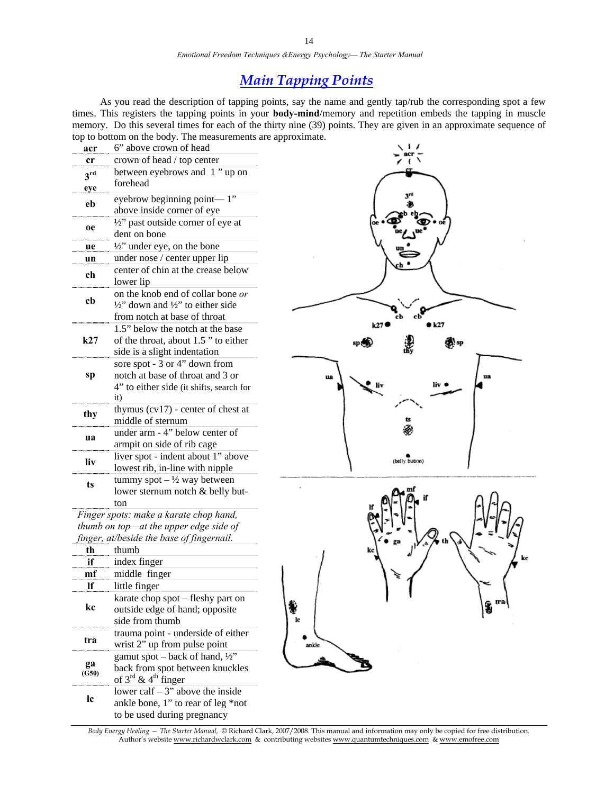*Emotional Freedom Techniques &Energy Psychology— The Starter Manual* 

### *Main Tapping Points*

 As you read the description of tapping points, say the name and gently tap/rub the corresponding spot a few times. This registers the tapping points in your **body-mind**/memory and repetition embeds the tapping in muscle memory. Do this several times for each of the thirty nine (39) points. They are given in an approximate sequence of top to bottom on the body. The measurements are approximate.

| acr                    | 6" above crown of head                                                                                                   |     |
|------------------------|--------------------------------------------------------------------------------------------------------------------------|-----|
| cr                     | crown of head / top center                                                                                               |     |
| 3 <sup>rd</sup><br>eye | between eyebrows and 1" up on<br>forehead                                                                                |     |
| eb                     | eyebrow beginning point—1"<br>above inside corner of eye                                                                 |     |
| <b>oe</b>              | $\frac{1}{2}$ " past outside corner of eye at<br>dent on bone                                                            |     |
| ue                     | $\frac{1}{2}$ " under eye, on the bone                                                                                   |     |
| un                     | under nose / center upper lip                                                                                            |     |
| ch                     | center of chin at the crease below<br>lower lip                                                                          |     |
| cb                     | on the knob end of collar bone or<br>$\frac{1}{2}$ down and $\frac{1}{2}$ to either side<br>from notch at base of throat |     |
| k27                    | 1.5" below the notch at the base<br>of the throat, about 1.5" to either<br>side is a slight indentation                  |     |
| sp                     | sore spot - 3 or 4" down from<br>notch at base of throat and 3 or<br>4" to either side (it shifts, search for<br>it)     | 119 |
| thy                    | thymus $(cv17)$ - center of chest at<br>middle of sternum                                                                |     |
| ua                     | under arm - 4" below center of<br>armpit on side of rib cage                                                             |     |
| liv                    | liver spot - indent about 1" above<br>lowest rib, in-line with nipple                                                    |     |
| ts                     | tummy spot $-\frac{1}{2}$ way between<br>lower sternum notch & belly but-<br>ton                                         |     |
|                        | Finger spots: make a karate chop hand,<br>thumb on top—at the upper edge side of                                         |     |

*finger, at/beside the base of fingernail.* 

|             | thumb                                                                                                                        |
|-------------|------------------------------------------------------------------------------------------------------------------------------|
| if          | index finger                                                                                                                 |
|             | middle finger                                                                                                                |
|             | little finger                                                                                                                |
| kc.         | karate chop spot – fleshy part on<br>outside edge of hand; opposite<br>side from thumb                                       |
| tra         | trauma point - underside of either<br>wrist 2" up from pulse point                                                           |
| ga<br>(G50) | gamut spot – back of hand, $\frac{1}{2}$ "<br>back from spot between knuckles<br>of $3^{\text{rd}}$ & $4^{\text{th}}$ finger |
| 1c          | lower calf $-3$ " above the inside<br>ankle bone, 1" to rear of leg *not<br>to be used during pregnancy                      |

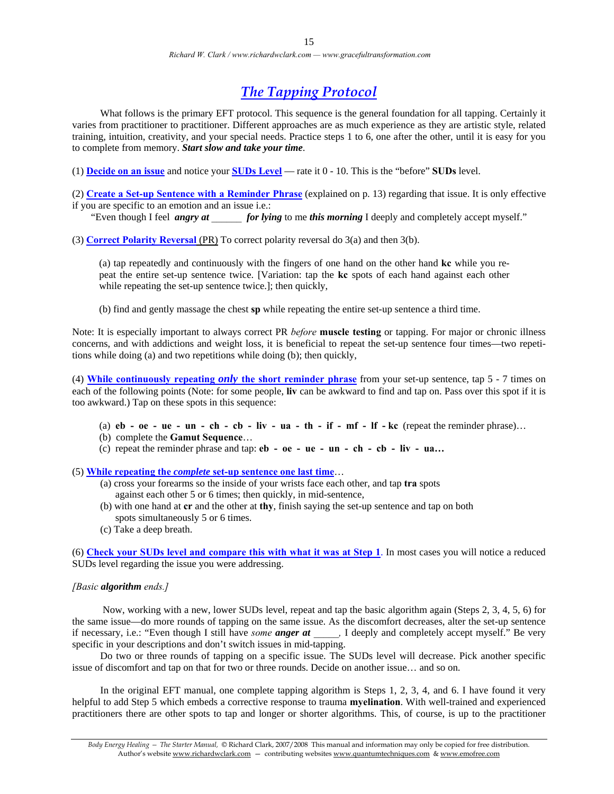### *The Tapping Protocol*

What follows is the primary EFT protocol. This sequence is the general foundation for all tapping. Certainly it varies from practitioner to practitioner. Different approaches are as much experience as they are artistic style, related training, intuition, creativity, and your special needs. Practice steps 1 to 6, one after the other, until it is easy for you to complete from memory. *Start slow and take your time*.

(1) **Decide on an issue** and notice your **SUDs Level** — rate it 0 - 10. This is the "before" **SUDs** level.

(2) **Create a Set-up Sentence with a Reminder Phrase** (explained on p. 13) regarding that issue. It is only effective

if you are specific to an emotion and an issue i.e.: "Even though I feel *angry at for lying* to me *this morning* I deeply and completely accept myself."

(3) **Correct Polarity Reversal** (PR) To correct polarity reversal do 3(a) and then 3(b).

(a) tap repeatedly and continuously with the fingers of one hand on the other hand **kc** while you repeat the entire set-up sentence twice. [Variation: tap the **kc** spots of each hand against each other while repeating the set-up sentence twice.]; then quickly,

(b) find and gently massage the chest **sp** while repeating the entire set-up sentence a third time.

Note: It is especially important to always correct PR *before* **muscle testing** or tapping. For major or chronic illness concerns, and with addictions and weight loss, it is beneficial to repeat the set-up sentence four times—two repetitions while doing (a) and two repetitions while doing (b); then quickly,

(4) **While continuously repeating** *only* **the short reminder phrase** from your set-up sentence, tap 5 - 7 times on each of the following points (Note: for some people, **liv** can be awkward to find and tap on. Pass over this spot if it is too awkward.) Tap on these spots in this sequence:

- (a)  $eb oe ue un ch cb liv ua th if mf If kc$  (repeat the reminder phrase)...
- (b) complete the **Gamut Sequence**…
- (c) repeat the reminder phrase and tap: **eb oe ue un ch cb liv ua…**

(5) **While repeating the** *complete* **set-up sentence one last time**…

- (a) cross your forearms so the inside of your wrists face each other, and tap **tra** spots against each other 5 or 6 times; then quickly, in mid-sentence,
- (b) with one hand at **cr** and the other at **thy**, finish saying the set-up sentence and tap on both spots simultaneously 5 or 6 times.
- (c) Take a deep breath.

(6) **Check your SUDs level and compare this with what it was at Step 1**. In most cases you will notice a reduced SUDs level regarding the issue you were addressing.

#### *[Basic algorithm ends.]*

 Now, working with a new, lower SUDs level, repeat and tap the basic algorithm again (Steps 2, 3, 4, 5, 6) for the same issue—do more rounds of tapping on the same issue. As the discomfort decreases, alter the set-up sentence if necessary, i.e.: "Even though I still have *some anger at*  $\blacksquare$ , I deeply and completely accept myself." Be very specific in your descriptions and don't switch issues in mid-tapping.

 Do two or three rounds of tapping on a specific issue. The SUDs level will decrease. Pick another specific issue of discomfort and tap on that for two or three rounds. Decide on another issue… and so on.

 In the original EFT manual, one complete tapping algorithm is Steps 1, 2, 3, 4, and 6. I have found it very helpful to add Step 5 which embeds a corrective response to trauma **myelination**. With well-trained and experienced practitioners there are other spots to tap and longer or shorter algorithms. This, of course, is up to the practitioner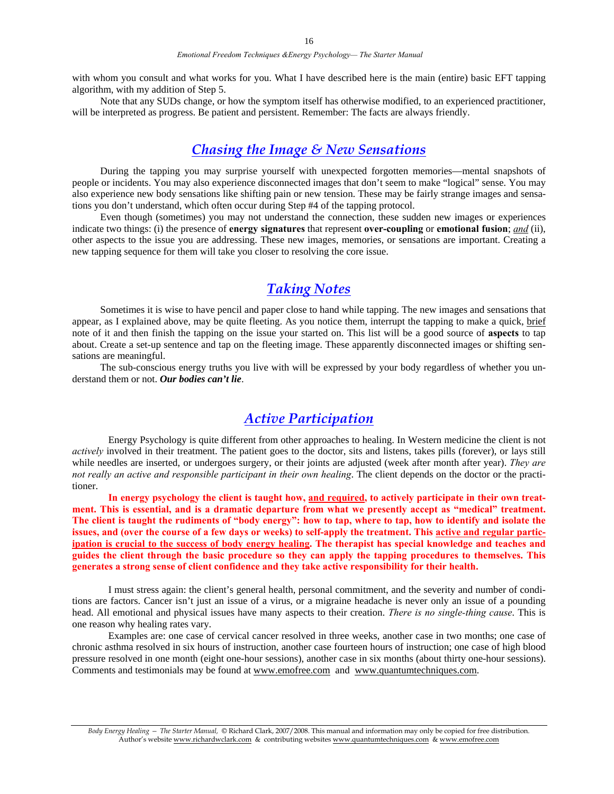with whom you consult and what works for you. What I have described here is the main (entire) basic EFT tapping algorithm, with my addition of Step 5.

 Note that any SUDs change, or how the symptom itself has otherwise modified, to an experienced practitioner, will be interpreted as progress. Be patient and persistent. Remember: The facts are always friendly.

### *Chasing the Image & New Sensations*

 During the tapping you may surprise yourself with unexpected forgotten memories—mental snapshots of people or incidents. You may also experience disconnected images that don't seem to make "logical" sense. You may also experience new body sensations like shifting pain or new tension. These may be fairly strange images and sensations you don't understand, which often occur during Step #4 of the tapping protocol.

 Even though (sometimes) you may not understand the connection, these sudden new images or experiences indicate two things: (i) the presence of **energy signatures** that represent **over-coupling** or **emotional fusion**; *and* (ii), other aspects to the issue you are addressing. These new images, memories, or sensations are important. Creating a new tapping sequence for them will take you closer to resolving the core issue.

### *Taking Notes*

 Sometimes it is wise to have pencil and paper close to hand while tapping. The new images and sensations that appear, as I explained above, may be quite fleeting. As you notice them, interrupt the tapping to make a quick, brief note of it and then finish the tapping on the issue your started on. This list will be a good source of **aspects** to tap about. Create a set-up sentence and tap on the fleeting image. These apparently disconnected images or shifting sensations are meaningful.

 The sub-conscious energy truths you live with will be expressed by your body regardless of whether you understand them or not. *Our bodies can't lie*.

### *Active Participation*

 Energy Psychology is quite different from other approaches to healing. In Western medicine the client is not *actively* involved in their treatment. The patient goes to the doctor, sits and listens, takes pills (forever), or lays still while needles are inserted, or undergoes surgery, or their joints are adjusted (week after month after year). *They are not really an active and responsible participant in their own healing*. The client depends on the doctor or the practitioner.

 **In energy psychology the client is taught how, and required, to actively participate in their own treatment. This is essential, and is a dramatic departure from what we presently accept as "medical" treatment. The client is taught the rudiments of "body energy": how to tap, where to tap, how to identify and isolate the issues, and (over the course of a few days or weeks) to self-apply the treatment. This active and regular participation is crucial to the success of body energy healing. The therapist has special knowledge and teaches and guides the client through the basic procedure so they can apply the tapping procedures to themselves. This generates a strong sense of client confidence and they take active responsibility for their health.** 

 I must stress again: the client's general health, personal commitment, and the severity and number of conditions are factors. Cancer isn't just an issue of a virus, or a migraine headache is never only an issue of a pounding head. All emotional and physical issues have many aspects to their creation. *There is no single-thing cause*. This is one reason why healing rates vary.

Examples are: one case of cervical cancer resolved in three weeks, another case in two months; one case of chronic asthma resolved in six hours of instruction, another case fourteen hours of instruction; one case of high blood pressure resolved in one month (eight one-hour sessions), another case in six months (about thirty one-hour sessions). Comments and testimonials may be found at www.emofree.com and www.quantumtechniques.com.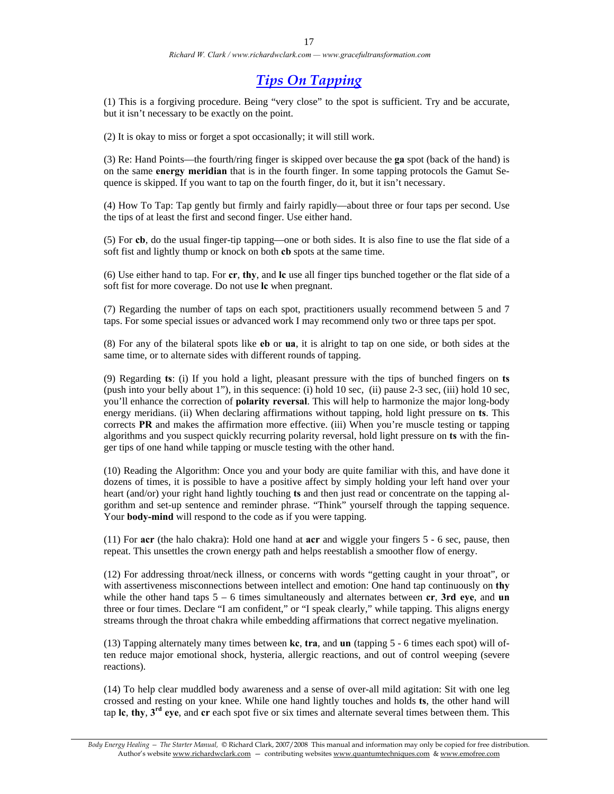### *Tips On Tapping*

(1) This is a forgiving procedure. Being "very close" to the spot is sufficient. Try and be accurate, but it isn't necessary to be exactly on the point.

(2) It is okay to miss or forget a spot occasionally; it will still work.

(3) Re: Hand Points—the fourth/ring finger is skipped over because the **ga** spot (back of the hand) is on the same **energy meridian** that is in the fourth finger. In some tapping protocols the Gamut Sequence is skipped. If you want to tap on the fourth finger, do it, but it isn't necessary.

(4) How To Tap: Tap gently but firmly and fairly rapidly—about three or four taps per second. Use the tips of at least the first and second finger. Use either hand.

(5) For **cb**, do the usual finger-tip tapping—one or both sides. It is also fine to use the flat side of a soft fist and lightly thump or knock on both **cb** spots at the same time.

(6) Use either hand to tap. For **cr**, **thy**, and **lc** use all finger tips bunched together or the flat side of a soft fist for more coverage. Do not use **lc** when pregnant.

(7) Regarding the number of taps on each spot, practitioners usually recommend between 5 and 7 taps. For some special issues or advanced work I may recommend only two or three taps per spot.

(8) For any of the bilateral spots like **eb** or **ua**, it is alright to tap on one side, or both sides at the same time, or to alternate sides with different rounds of tapping.

(9) Regarding **ts**: (i) If you hold a light, pleasant pressure with the tips of bunched fingers on **ts** (push into your belly about 1"), in this sequence: (i) hold 10 sec, (ii) pause 2-3 sec, (iii) hold 10 sec, you'll enhance the correction of **polarity reversal**. This will help to harmonize the major long-body energy meridians. (ii) When declaring affirmations without tapping, hold light pressure on **ts**. This corrects **PR** and makes the affirmation more effective. (iii) When you're muscle testing or tapping algorithms and you suspect quickly recurring polarity reversal, hold light pressure on **ts** with the finger tips of one hand while tapping or muscle testing with the other hand.

(10) Reading the Algorithm: Once you and your body are quite familiar with this, and have done it dozens of times, it is possible to have a positive affect by simply holding your left hand over your heart (and/or) your right hand lightly touching **ts** and then just read or concentrate on the tapping algorithm and set-up sentence and reminder phrase. "Think" yourself through the tapping sequence. Your **body-mind** will respond to the code as if you were tapping.

(11) For **acr** (the halo chakra): Hold one hand at **acr** and wiggle your fingers 5 - 6 sec, pause, then repeat. This unsettles the crown energy path and helps reestablish a smoother flow of energy.

(12) For addressing throat/neck illness, or concerns with words "getting caught in your throat", or with assertiveness misconnections between intellect and emotion: One hand tap continuously on **thy** while the other hand taps  $5 - 6$  times simultaneously and alternates between  $cr$ , **3rd eye**, and **un** three or four times. Declare "I am confident," or "I speak clearly," while tapping. This aligns energy streams through the throat chakra while embedding affirmations that correct negative myelination.

(13) Tapping alternately many times between **kc**, **tra**, and **un** (tapping 5 - 6 times each spot) will often reduce major emotional shock, hysteria, allergic reactions, and out of control weeping (severe reactions).

(14) To help clear muddled body awareness and a sense of over-all mild agitation: Sit with one leg crossed and resting on your knee. While one hand lightly touches and holds **ts**, the other hand will tap **lc**, **thy**, **3rd eye**, and **cr** each spot five or six times and alternate several times between them. This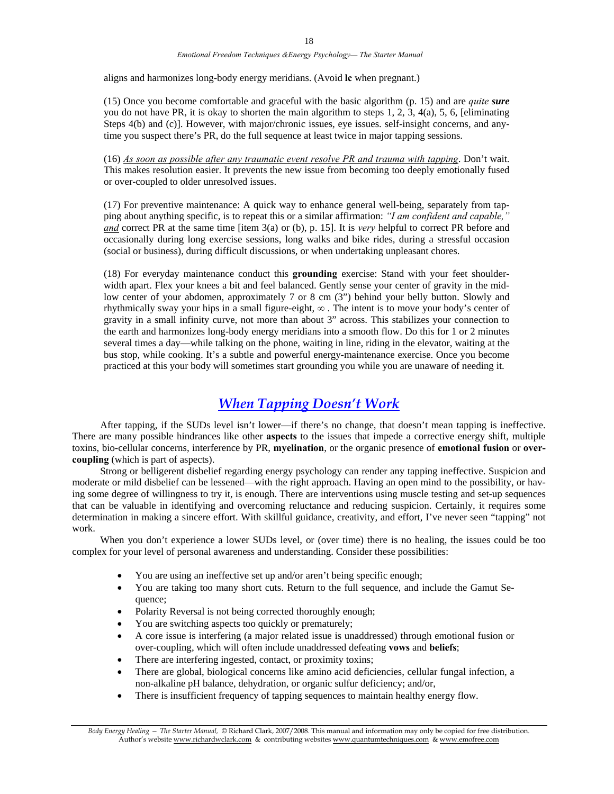aligns and harmonizes long-body energy meridians. (Avoid **lc** when pregnant.)

(15) Once you become comfortable and graceful with the basic algorithm (p. 15) and are *quite sure* you do not have PR, it is okay to shorten the main algorithm to steps 1, 2, 3, 4(a), 5, 6, [eliminating Steps 4(b) and (c)]. However, with major/chronic issues, eye issues, self-insight concerns, and anytime you suspect there's PR, do the full sequence at least twice in major tapping sessions.

(16) *As soon as possible after any traumatic event resolve PR and trauma with tapping*. Don't wait. This makes resolution easier. It prevents the new issue from becoming too deeply emotionally fused or over-coupled to older unresolved issues.

(17) For preventive maintenance: A quick way to enhance general well-being, separately from tapping about anything specific, is to repeat this or a similar affirmation: *"I am confident and capable," and* correct PR at the same time [item 3(a) or (b), p. 15]. It is *very* helpful to correct PR before and occasionally during long exercise sessions, long walks and bike rides, during a stressful occasion (social or business), during difficult discussions, or when undertaking unpleasant chores.

(18) For everyday maintenance conduct this **grounding** exercise: Stand with your feet shoulderwidth apart. Flex your knees a bit and feel balanced. Gently sense your center of gravity in the midlow center of your abdomen, approximately 7 or 8 cm (3") behind your belly button. Slowly and rhythmically sway your hips in a small figure-eight, **∞** . The intent is to move your body's center of gravity in a small infinity curve, not more than about 3" across. This stabilizes your connection to the earth and harmonizes long-body energy meridians into a smooth flow. Do this for 1 or 2 minutes several times a day—while talking on the phone, waiting in line, riding in the elevator, waiting at the bus stop, while cooking. It's a subtle and powerful energy-maintenance exercise. Once you become practiced at this your body will sometimes start grounding you while you are unaware of needing it.

### *When Tapping Doesn't Work*

 After tapping, if the SUDs level isn't lower—if there's no change, that doesn't mean tapping is ineffective. There are many possible hindrances like other **aspects** to the issues that impede a corrective energy shift, multiple toxins, bio-cellular concerns, interference by PR, **myelination**, or the organic presence of **emotional fusion** or **overcoupling** (which is part of aspects).

 Strong or belligerent disbelief regarding energy psychology can render any tapping ineffective. Suspicion and moderate or mild disbelief can be lessened—with the right approach. Having an open mind to the possibility, or having some degree of willingness to try it, is enough. There are interventions using muscle testing and set-up sequences that can be valuable in identifying and overcoming reluctance and reducing suspicion. Certainly, it requires some determination in making a sincere effort. With skillful guidance, creativity, and effort, I've never seen "tapping" not work.

When you don't experience a lower SUDs level, or (over time) there is no healing, the issues could be too complex for your level of personal awareness and understanding. Consider these possibilities:

- You are using an ineffective set up and/or aren't being specific enough;
- You are taking too many short cuts. Return to the full sequence, and include the Gamut Sequence;
- Polarity Reversal is not being corrected thoroughly enough;
- You are switching aspects too quickly or prematurely;
- A core issue is interfering (a major related issue is unaddressed) through emotional fusion or over-coupling, which will often include unaddressed defeating **vows** and **beliefs**;
- There are interfering ingested, contact, or proximity toxins;
- There are global, biological concerns like amino acid deficiencies, cellular fungal infection, a non-alkaline pH balance, dehydration, or organic sulfur deficiency; and/or,
- There is insufficient frequency of tapping sequences to maintain healthy energy flow.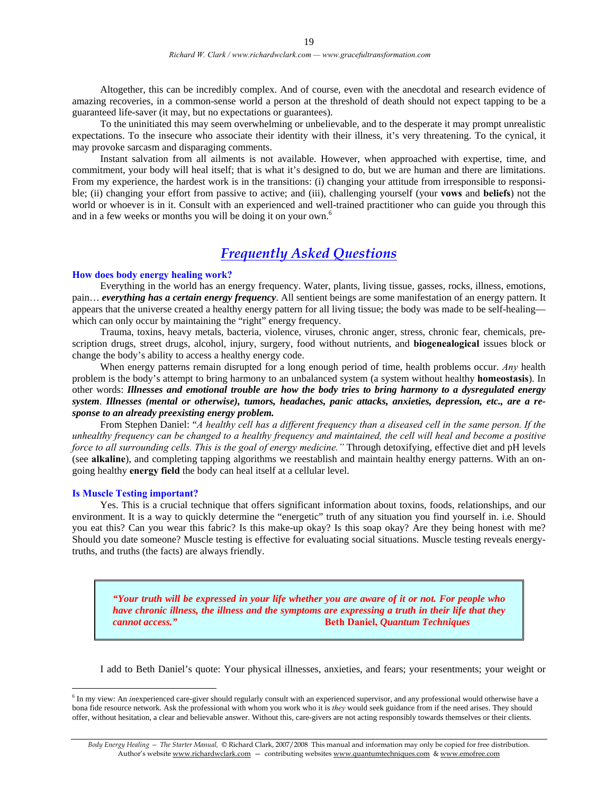Altogether, this can be incredibly complex. And of course, even with the anecdotal and research evidence of amazing recoveries, in a common-sense world a person at the threshold of death should not expect tapping to be a guaranteed life-saver (it may, but no expectations or guarantees).

 To the uninitiated this may seem overwhelming or unbelievable, and to the desperate it may prompt unrealistic expectations. To the insecure who associate their identity with their illness, it's very threatening. To the cynical, it may provoke sarcasm and disparaging comments.

 Instant salvation from all ailments is not available. However, when approached with expertise, time, and commitment, your body will heal itself; that is what it's designed to do, but we are human and there are limitations. From my experience, the hardest work is in the transitions: (i) changing your attitude from irresponsible to responsible; (ii) changing your effort from passive to active; and (iii), challenging yourself (your **vows** and **beliefs**) not the world or whoever is in it. Consult with an experienced and well-trained practitioner who can guide you through this and in a few weeks or months you will be doing it on your own.<sup>6</sup>

### *Frequently Asked Questions*

#### **How does body energy healing work?**

 Everything in the world has an energy frequency. Water, plants, living tissue, gasses, rocks, illness, emotions, pain… *everything has a certain energy frequency*. All sentient beings are some manifestation of an energy pattern. It appears that the universe created a healthy energy pattern for all living tissue; the body was made to be self-healing which can only occur by maintaining the "right" energy frequency.

 Trauma, toxins, heavy metals, bacteria, violence, viruses, chronic anger, stress, chronic fear, chemicals, prescription drugs, street drugs, alcohol, injury, surgery, food without nutrients, and **biogenealogical** issues block or change the body's ability to access a healthy energy code.

 When energy patterns remain disrupted for a long enough period of time, health problems occur. *Any* health problem is the body's attempt to bring harmony to an unbalanced system (a system without healthy **homeostasis**). In other words: *Illnesses and emotional trouble are how the body tries to bring harmony to a dysregulated energy system*. *Illnesses (mental or otherwise), tumors, headaches, panic attacks, anxieties, depression, etc., are a response to an already preexisting energy problem.* 

 From Stephen Daniel: "*A healthy cell has a different frequency than a diseased cell in the same person. If the unhealthy frequency can be changed to a healthy frequency and maintained, the cell will heal and become a positive force to all surrounding cells. This is the goal of energy medicine."* Through detoxifying, effective diet and pH levels (see **alkaline**), and completing tapping algorithms we reestablish and maintain healthy energy patterns. With an ongoing healthy **energy field** the body can heal itself at a cellular level.

#### **Is Muscle Testing important?**

 $\overline{a}$ 

 Yes. This is a crucial technique that offers significant information about toxins, foods, relationships, and our environment. It is a way to quickly determine the "energetic" truth of any situation you find yourself in. i.e. Should you eat this? Can you wear this fabric? Is this make-up okay? Is this soap okay? Are they being honest with me? Should you date someone? Muscle testing is effective for evaluating social situations. Muscle testing reveals energytruths, and truths (the facts) are always friendly.

*"Your truth will be expressed in your life whether you are aware of it or not. For people who have chronic illness, the illness and the symptoms are expressing a truth in their life that they cannot access."* **Beth Daniel,** *Quantum Techniques* 

I add to Beth Daniel's quote: Your physical illnesses, anxieties, and fears; your resentments; your weight or

<sup>&</sup>lt;sup>6</sup> In my view: An *inexperienced care-giver should regularly consult with an experienced supervisor, and any professional would otherwise have a* bona fide resource network. Ask the professional with whom you work who it is *they* would seek guidance from if the need arises. They should offer, without hesitation, a clear and believable answer. Without this, care-givers are not acting responsibly towards themselves or their clients.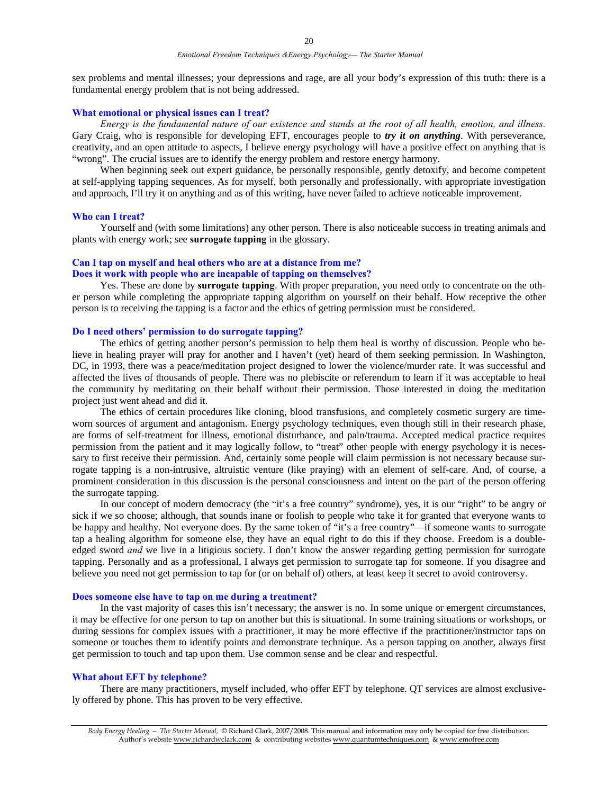sex problems and mental illnesses; your depressions and rage, are all your body's expression of this truth: there is a fundamental energy problem that is not being addressed.

#### **What emotional or physical issues can I treat?**

*Energy is the fundamental nature of our existence and stands at the root of all health, emotion, and illness.* Gary Craig, who is responsible for developing EFT, encourages people to *try it on anything*. With perseverance, creativity, and an open attitude to aspects, I believe energy psychology will have a positive effect on anything that is "wrong". The crucial issues are to identify the energy problem and restore energy harmony.

 When beginning seek out expert guidance, be personally responsible, gently detoxify, and become competent at self-applying tapping sequences. As for myself, both personally and professionally, with appropriate investigation and approach, I'll try it on anything and as of this writing, have never failed to achieve noticeable improvement.

#### **Who can I treat?**

 Yourself and (with some limitations) any other person. There is also noticeable success in treating animals and plants with energy work; see **surrogate tapping** in the glossary.

#### **Can I tap on myself and heal others who are at a distance from me? Does it work with people who are incapable of tapping on themselves?**

 Yes. These are done by **surrogate tapping**. With proper preparation, you need only to concentrate on the other person while completing the appropriate tapping algorithm on yourself on their behalf. How receptive the other person is to receiving the tapping is a factor and the ethics of getting permission must be considered.

#### **Do I need others' permission to do surrogate tapping?**

 The ethics of getting another person's permission to help them heal is worthy of discussion. People who believe in healing prayer will pray for another and I haven't (yet) heard of them seeking permission. In Washington, DC, in 1993, there was a peace/meditation project designed to lower the violence/murder rate. It was successful and affected the lives of thousands of people. There was no plebiscite or referendum to learn if it was acceptable to heal the community by meditating on their behalf without their permission. Those interested in doing the meditation project just went ahead and did it.

 The ethics of certain procedures like cloning, blood transfusions, and completely cosmetic surgery are timeworn sources of argument and antagonism. Energy psychology techniques, even though still in their research phase, are forms of self-treatment for illness, emotional disturbance, and pain/trauma. Accepted medical practice requires permission from the patient and it may logically follow, to "treat" other people with energy psychology it is necessary to first receive their permission. And, certainly some people will claim permission is not necessary because surrogate tapping is a non-intrusive, altruistic venture (like praying) with an element of self-care. And, of course, a prominent consideration in this discussion is the personal consciousness and intent on the part of the person offering the surrogate tapping.

 In our concept of modern democracy (the "it's a free country" syndrome), yes, it is our "right" to be angry or sick if we so choose; although, that sounds inane or foolish to people who take it for granted that everyone wants to be happy and healthy. Not everyone does. By the same token of "it's a free country"—if someone wants to surrogate tap a healing algorithm for someone else, they have an equal right to do this if they choose. Freedom is a doubleedged sword *and* we live in a litigious society. I don't know the answer regarding getting permission for surrogate tapping. Personally and as a professional, I always get permission to surrogate tap for someone. If you disagree and believe you need not get permission to tap for (or on behalf of) others, at least keep it secret to avoid controversy.

#### **Does someone else have to tap on me during a treatment?**

 In the vast majority of cases this isn't necessary; the answer is no. In some unique or emergent circumstances, it may be effective for one person to tap on another but this is situational. In some training situations or workshops, or during sessions for complex issues with a practitioner, it may be more effective if the practitioner/instructor taps on someone or touches them to identify points and demonstrate technique. As a person tapping on another, always first get permission to touch and tap upon them. Use common sense and be clear and respectful.

#### **What about EFT by telephone?**

There are many practitioners, myself included, who offer EFT by telephone. QT services are almost exclusively offered by phone. This has proven to be very effective.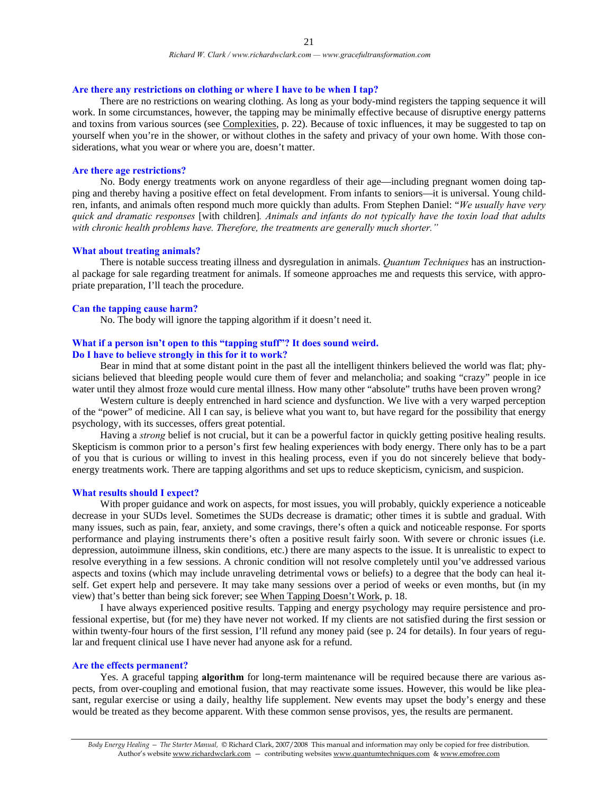#### **Are there any restrictions on clothing or where I have to be when I tap?**

There are no restrictions on wearing clothing. As long as your body-mind registers the tapping sequence it will work. In some circumstances, however, the tapping may be minimally effective because of disruptive energy patterns and toxins from various sources (see Complexities, p. 22). Because of toxic influences, it may be suggested to tap on yourself when you're in the shower, or without clothes in the safety and privacy of your own home. With those considerations, what you wear or where you are, doesn't matter.

#### **Are there age restrictions?**

 No. Body energy treatments work on anyone regardless of their age—including pregnant women doing tapping and thereby having a positive effect on fetal development. From infants to seniors—it is universal. Young children, infants, and animals often respond much more quickly than adults. From Stephen Daniel: "*We usually have very quick and dramatic responses* [with children]*. Animals and infants do not typically have the toxin load that adults with chronic health problems have. Therefore, the treatments are generally much shorter."* 

#### **What about treating animals?**

 There is notable success treating illness and dysregulation in animals. *Quantum Techniques* has an instructional package for sale regarding treatment for animals. If someone approaches me and requests this service, with appropriate preparation, I'll teach the procedure.

#### **Can the tapping cause harm?**

No. The body will ignore the tapping algorithm if it doesn't need it.

#### **What if a person isn't open to this "tapping stuff"? It does sound weird. Do I have to believe strongly in this for it to work?**

 Bear in mind that at some distant point in the past all the intelligent thinkers believed the world was flat; physicians believed that bleeding people would cure them of fever and melancholia; and soaking "crazy" people in ice water until they almost froze would cure mental illness. How many other "absolute" truths have been proven wrong?

 Western culture is deeply entrenched in hard science and dysfunction. We live with a very warped perception of the "power" of medicine. All I can say, is believe what you want to, but have regard for the possibility that energy psychology, with its successes, offers great potential.

 Having a *strong* belief is not crucial, but it can be a powerful factor in quickly getting positive healing results. Skepticism is common prior to a person's first few healing experiences with body energy. There only has to be a part of you that is curious or willing to invest in this healing process, even if you do not sincerely believe that bodyenergy treatments work. There are tapping algorithms and set ups to reduce skepticism, cynicism, and suspicion.

#### **What results should I expect?**

 With proper guidance and work on aspects, for most issues, you will probably, quickly experience a noticeable decrease in your SUDs level. Sometimes the SUDs decrease is dramatic; other times it is subtle and gradual. With many issues, such as pain, fear, anxiety, and some cravings, there's often a quick and noticeable response. For sports performance and playing instruments there's often a positive result fairly soon. With severe or chronic issues (i.e. depression, autoimmune illness, skin conditions, etc.) there are many aspects to the issue. It is unrealistic to expect to resolve everything in a few sessions. A chronic condition will not resolve completely until you've addressed various aspects and toxins (which may include unraveling detrimental vows or beliefs) to a degree that the body can heal itself. Get expert help and persevere. It may take many sessions over a period of weeks or even months, but (in my view) that's better than being sick forever; see When Tapping Doesn't Work, p. 18.

 I have always experienced positive results. Tapping and energy psychology may require persistence and professional expertise, but (for me) they have never not worked. If my clients are not satisfied during the first session or within twenty-four hours of the first session, I'll refund any money paid (see p. 24 for details). In four years of regular and frequent clinical use I have never had anyone ask for a refund.

#### **Are the effects permanent?**

 Yes. A graceful tapping **algorithm** for long-term maintenance will be required because there are various aspects, from over-coupling and emotional fusion, that may reactivate some issues. However, this would be like pleasant, regular exercise or using a daily, healthy life supplement. New events may upset the body's energy and these would be treated as they become apparent. With these common sense provisos, yes, the results are permanent.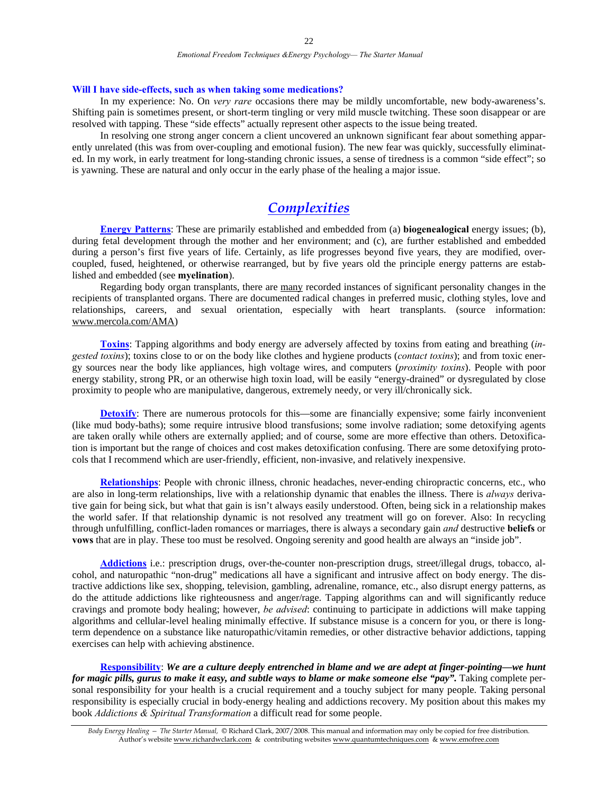#### **Will I have side-effects, such as when taking some medications?**

 In my experience: No. On *very rare* occasions there may be mildly uncomfortable, new body-awareness's. Shifting pain is sometimes present, or short-term tingling or very mild muscle twitching. These soon disappear or are resolved with tapping. These "side effects" actually represent other aspects to the issue being treated.

 In resolving one strong anger concern a client uncovered an unknown significant fear about something apparently unrelated (this was from over-coupling and emotional fusion). The new fear was quickly, successfully eliminated. In my work, in early treatment for long-standing chronic issues, a sense of tiredness is a common "side effect"; so is yawning. These are natural and only occur in the early phase of the healing a major issue.

### *Complexities*

**Energy Patterns**: These are primarily established and embedded from (a) **biogenealogical** energy issues; (b), during fetal development through the mother and her environment; and (c), are further established and embedded during a person's first five years of life. Certainly, as life progresses beyond five years, they are modified, overcoupled, fused, heightened, or otherwise rearranged, but by five years old the principle energy patterns are established and embedded (see **myelination**).

Regarding body organ transplants, there are many recorded instances of significant personality changes in the recipients of transplanted organs. There are documented radical changes in preferred music, clothing styles, love and relationships, careers, and sexual orientation, especially with heart transplants. (source information: www.mercola.com/AMA)

**Toxins**: Tapping algorithms and body energy are adversely affected by toxins from eating and breathing (*ingested toxins*); toxins close to or on the body like clothes and hygiene products (*contact toxins*); and from toxic energy sources near the body like appliances, high voltage wires, and computers (*proximity toxins*). People with poor energy stability, strong PR, or an otherwise high toxin load, will be easily "energy-drained" or dysregulated by close proximity to people who are manipulative, dangerous, extremely needy, or very ill/chronically sick.

**Detoxify:** There are numerous protocols for this—some are financially expensive; some fairly inconvenient (like mud body-baths); some require intrusive blood transfusions; some involve radiation; some detoxifying agents are taken orally while others are externally applied; and of course, some are more effective than others. Detoxification is important but the range of choices and cost makes detoxification confusing. There are some detoxifying protocols that I recommend which are user-friendly, efficient, non-invasive, and relatively inexpensive.

**Relationships**: People with chronic illness, chronic headaches, never-ending chiropractic concerns, etc., who are also in long-term relationships, live with a relationship dynamic that enables the illness. There is *always* derivative gain for being sick, but what that gain is isn't always easily understood. Often, being sick in a relationship makes the world safer. If that relationship dynamic is not resolved any treatment will go on forever. Also: In recycling through unfulfilling, conflict-laden romances or marriages, there is always a secondary gain *and* destructive **beliefs** or **vows** that are in play. These too must be resolved. Ongoing serenity and good health are always an "inside job".

**Addictions** i.e.: prescription drugs, over-the-counter non-prescription drugs, street/illegal drugs, tobacco, alcohol, and naturopathic "non-drug" medications all have a significant and intrusive affect on body energy. The distractive addictions like sex, shopping, television, gambling, adrenaline, romance, etc., also disrupt energy patterns, as do the attitude addictions like righteousness and anger/rage. Tapping algorithms can and will significantly reduce cravings and promote body healing; however, *be advised*: continuing to participate in addictions will make tapping algorithms and cellular-level healing minimally effective. If substance misuse is a concern for you, or there is longterm dependence on a substance like naturopathic/vitamin remedies, or other distractive behavior addictions, tapping exercises can help with achieving abstinence.

**Responsibility**: *We are a culture deeply entrenched in blame and we are adept at finger-pointing—we hunt for magic pills, gurus to make it easy, and subtle ways to blame or make someone else "pay".* Taking complete personal responsibility for your health is a crucial requirement and a touchy subject for many people. Taking personal responsibility is especially crucial in body-energy healing and addictions recovery. My position about this makes my book *Addictions & Spiritual Transformation* a difficult read for some people.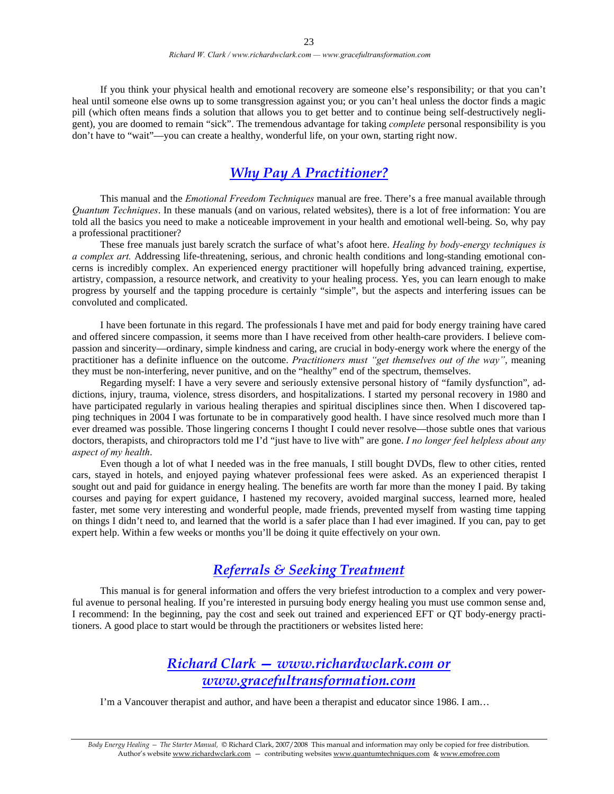If you think your physical health and emotional recovery are someone else's responsibility; or that you can't heal until someone else owns up to some transgression against you; or you can't heal unless the doctor finds a magic pill (which often means finds a solution that allows you to get better and to continue being self-destructively negligent), you are doomed to remain "sick". The tremendous advantage for taking *complete* personal responsibility is you don't have to "wait"—you can create a healthy, wonderful life, on your own, starting right now.

### *Why Pay A Practitioner?*

 This manual and the *Emotional Freedom Techniques* manual are free. There's a free manual available through *Quantum Techniques*. In these manuals (and on various, related websites), there is a lot of free information: You are told all the basics you need to make a noticeable improvement in your health and emotional well-being. So, why pay a professional practitioner?

 These free manuals just barely scratch the surface of what's afoot here. *Healing by body-energy techniques is a complex art.* Addressing life-threatening, serious, and chronic health conditions and long-standing emotional concerns is incredibly complex. An experienced energy practitioner will hopefully bring advanced training, expertise, artistry, compassion, a resource network, and creativity to your healing process. Yes, you can learn enough to make progress by yourself and the tapping procedure is certainly "simple", but the aspects and interfering issues can be convoluted and complicated.

 I have been fortunate in this regard. The professionals I have met and paid for body energy training have cared and offered sincere compassion, it seems more than I have received from other health-care providers. I believe compassion and sincerity—ordinary, simple kindness and caring, are crucial in body-energy work where the energy of the practitioner has a definite influence on the outcome. *Practitioners must "get themselves out of the way"*, meaning they must be non-interfering, never punitive, and on the "healthy" end of the spectrum, themselves.

 Regarding myself: I have a very severe and seriously extensive personal history of "family dysfunction", addictions, injury, trauma, violence, stress disorders, and hospitalizations. I started my personal recovery in 1980 and have participated regularly in various healing therapies and spiritual disciplines since then. When I discovered tapping techniques in 2004 I was fortunate to be in comparatively good health. I have since resolved much more than I ever dreamed was possible. Those lingering concerns I thought I could never resolve—those subtle ones that various doctors, therapists, and chiropractors told me I'd "just have to live with" are gone. *I no longer feel helpless about any aspect of my health*.

 Even though a lot of what I needed was in the free manuals, I still bought DVDs, flew to other cities, rented cars, stayed in hotels, and enjoyed paying whatever professional fees were asked. As an experienced therapist I sought out and paid for guidance in energy healing. The benefits are worth far more than the money I paid. By taking courses and paying for expert guidance, I hastened my recovery, avoided marginal success, learned more, healed faster, met some very interesting and wonderful people, made friends, prevented myself from wasting time tapping on things I didn't need to, and learned that the world is a safer place than I had ever imagined. If you can, pay to get expert help. Within a few weeks or months you'll be doing it quite effectively on your own.

### *Referrals & Seeking Treatment*

 This manual is for general information and offers the very briefest introduction to a complex and very powerful avenue to personal healing. If you're interested in pursuing body energy healing you must use common sense and, I recommend: In the beginning, pay the cost and seek out trained and experienced EFT or QT body-energy practitioners. A good place to start would be through the practitioners or websites listed here:

### *Richard Clark — www.richardwclark.com or www.gracefultransformation.com*

I'm a Vancouver therapist and author, and have been a therapist and educator since 1986. I am…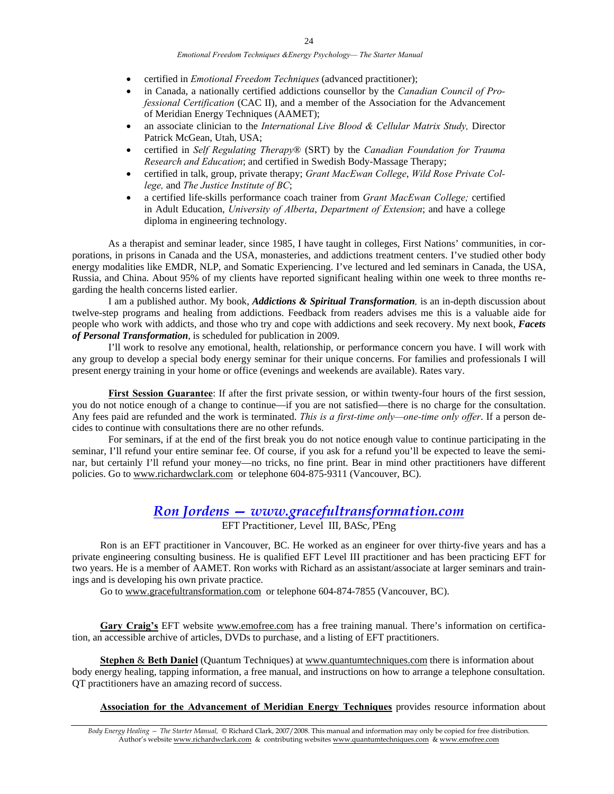*Emotional Freedom Techniques &Energy Psychology— The Starter Manual* 

- certified in *Emotional Freedom Techniques* (advanced practitioner);
- in Canada, a nationally certified addictions counsellor by the *Canadian Council of Professional Certification* (CAC II), and a member of the Association for the Advancement of Meridian Energy Techniques (AAMET);
- an associate clinician to the *International Live Blood & Cellular Matrix Study,* Director Patrick McGean, Utah, USA;
- certified in *Self Regulating Therapy*® (SRT) by the *Canadian Foundation for Trauma Research and Education*; and certified in Swedish Body-Massage Therapy;
- certified in talk, group, private therapy; *Grant MacEwan College*, *Wild Rose Private College,* and *The Justice Institute of BC*;
- a certified life-skills performance coach trainer from *Grant MacEwan College;* certified in Adult Education, *University of Alberta*, *Department of Extension*; and have a college diploma in engineering technology.

 As a therapist and seminar leader, since 1985, I have taught in colleges, First Nations' communities, in corporations, in prisons in Canada and the USA, monasteries, and addictions treatment centers. I've studied other body energy modalities like EMDR, NLP, and Somatic Experiencing. I've lectured and led seminars in Canada, the USA, Russia, and China. About 95% of my clients have reported significant healing within one week to three months regarding the health concerns listed earlier.

 I am a published author. My book, *Addictions & Spiritual Transformation,* is an in-depth discussion about twelve-step programs and healing from addictions. Feedback from readers advises me this is a valuable aide for people who work with addicts, and those who try and cope with addictions and seek recovery. My next book, *Facets of Personal Transformation*, is scheduled for publication in 2009.

I'll work to resolve any emotional, health, relationship, or performance concern you have. I will work with any group to develop a special body energy seminar for their unique concerns. For families and professionals I will present energy training in your home or office (evenings and weekends are available). Rates vary.

**First Session Guarantee**: If after the first private session, or within twenty-four hours of the first session, you do not notice enough of a change to continue—if you are not satisfied—there is no charge for the consultation. Any fees paid are refunded and the work is terminated. *This is a first-time only—one-time only offer*. If a person decides to continue with consultations there are no other refunds.

For seminars, if at the end of the first break you do not notice enough value to continue participating in the seminar, I'll refund your entire seminar fee. Of course, if you ask for a refund you'll be expected to leave the seminar, but certainly I'll refund your money—no tricks, no fine print. Bear in mind other practitioners have different policies. Go to www.richardwclark.com or telephone 604-875-9311 (Vancouver, BC).

### *Ron Jordens — www.gracefultransformation.com*

EFT Practitioner, Level III, BASc, PEng

 Ron is an EFT practitioner in Vancouver, BC. He worked as an engineer for over thirty-five years and has a private engineering consulting business. He is qualified EFT Level III practitioner and has been practicing EFT for two years. He is a member of AAMET. Ron works with Richard as an assistant/associate at larger seminars and trainings and is developing his own private practice.

Go to www.gracefultransformation.com or telephone 604-874-7855 (Vancouver, BC).

 **Gary Craig's** EFT website www.emofree.com has a free training manual. There's information on certification, an accessible archive of articles, DVDs to purchase, and a listing of EFT practitioners.

 **Stephen** & **Beth Daniel** (Quantum Techniques) at www.quantumtechniques.com there is information about body energy healing, tapping information, a free manual, and instructions on how to arrange a telephone consultation. QT practitioners have an amazing record of success.

**Association for the Advancement of Meridian Energy Techniques** provides resource information about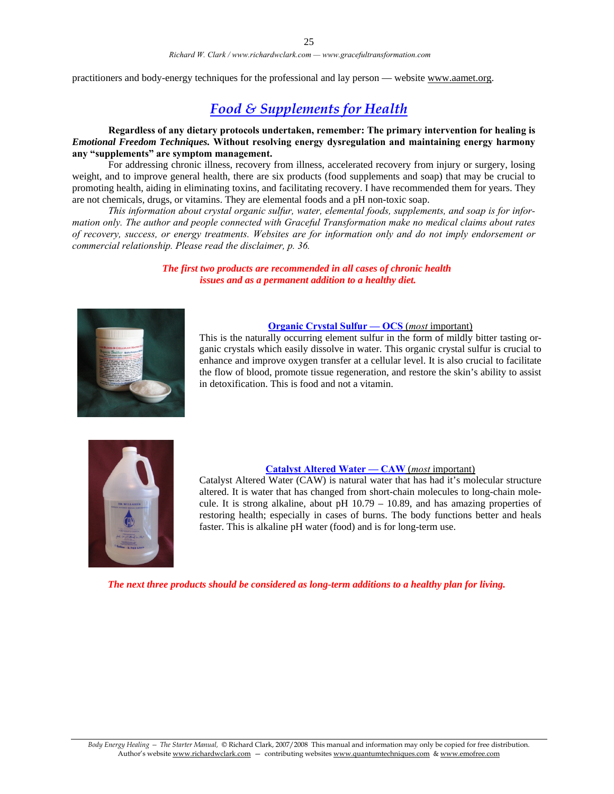practitioners and body-energy techniques for the professional and lay person — website www.aamet.org.

### *Food & Supplements for Health*

**Regardless of any dietary protocols undertaken, remember: The primary intervention for healing is**  *Emotional Freedom Techniques.* **Without resolving energy dysregulation and maintaining energy harmony any "supplements" are symptom management.** 

For addressing chronic illness, recovery from illness, accelerated recovery from injury or surgery, losing weight, and to improve general health, there are six products (food supplements and soap) that may be crucial to promoting health, aiding in eliminating toxins, and facilitating recovery. I have recommended them for years. They are not chemicals, drugs, or vitamins. They are elemental foods and a pH non-toxic soap.

*This information about crystal organic sulfur, water, elemental foods, supplements, and soap is for information only. The author and people connected with Graceful Transformation make no medical claims about rates of recovery, success, or energy treatments. Websites are for information only and do not imply endorsement or commercial relationship. Please read the disclaimer, p. 36.* 

> *The first two products are recommended in all cases of chronic health issues and as a permanent addition to a healthy diet.*



#### **Organic Crystal Sulfur — OCS** (*most* important)

This is the naturally occurring element sulfur in the form of mildly bitter tasting organic crystals which easily dissolve in water. This organic crystal sulfur is crucial to enhance and improve oxygen transfer at a cellular level. It is also crucial to facilitate the flow of blood, promote tissue regeneration, and restore the skin's ability to assist in detoxification. This is food and not a vitamin.



#### **Catalyst Altered Water — CAW** (*most* important)

Catalyst Altered Water (CAW) is natural water that has had it's molecular structure altered. It is water that has changed from short-chain molecules to long-chain molecule. It is strong alkaline, about pH 10.79 – 10.89, and has amazing properties of restoring health; especially in cases of burns. The body functions better and heals faster. This is alkaline pH water (food) and is for long-term use.

*The next three products should be considered as long-term additions to a healthy plan for living.*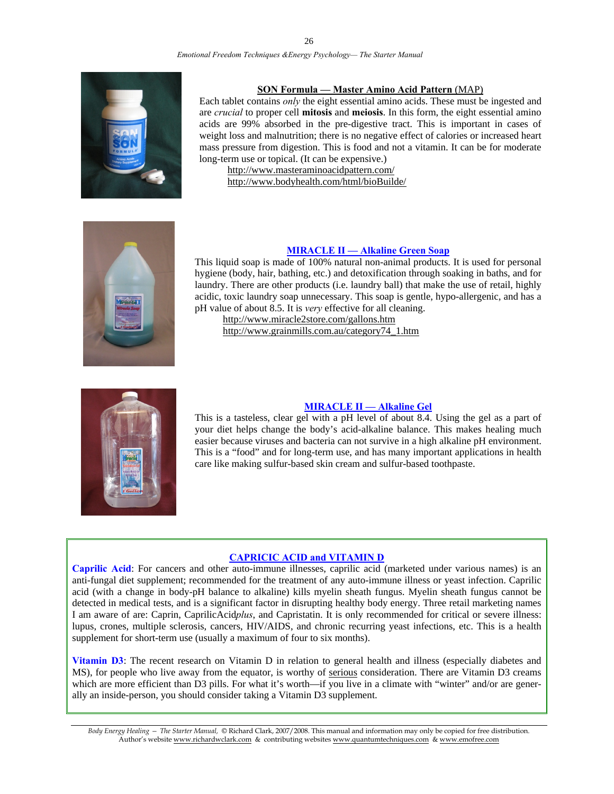#### *Emotional Freedom Techniques &Energy Psychology— The Starter Manual*



#### **SON Formula — Master Amino Acid Pattern** (MAP)

Each tablet contains *only* the eight essential amino acids. These must be ingested and are *crucial* to proper cell **mitosis** and **meiosis**. In this form, the eight essential amino acids are 99% absorbed in the pre-digestive tract. This is important in cases of weight loss and malnutrition; there is no negative effect of calories or increased heart mass pressure from digestion. This is food and not a vitamin. It can be for moderate long-term use or topical. (It can be expensive.)

 http://www.masteraminoacidpattern.com/ http://www.bodyhealth.com/html/bioBuilde/



#### **MIRACLE II — Alkaline Green Soap**

This liquid soap is made of 100% natural non-animal products. It is used for personal hygiene (body, hair, bathing, etc.) and detoxification through soaking in baths, and for laundry. There are other products (i.e. laundry ball) that make the use of retail, highly acidic, toxic laundry soap unnecessary. This soap is gentle, hypo-allergenic, and has a pH value of about 8.5. It is *very* effective for all cleaning.

 http://www.miracle2store.com/gallons.htm http://www.grainmills.com.au/category74\_1.htm



#### **MIRACLE II — Alkaline Gel**

This is a tasteless, clear gel with a pH level of about 8.4. Using the gel as a part of your diet helps change the body's acid-alkaline balance. This makes healing much easier because viruses and bacteria can not survive in a high alkaline pH environment. This is a "food" and for long-term use, and has many important applications in health care like making sulfur-based skin cream and sulfur-based toothpaste.

#### **CAPRICIC ACID and VITAMIN D**

**Caprilic Acid**: For cancers and other auto-immune illnesses, caprilic acid (marketed under various names) is an anti-fungal diet supplement; recommended for the treatment of any auto-immune illness or yeast infection. Caprilic acid (with a change in body-pH balance to alkaline) kills myelin sheath fungus. Myelin sheath fungus cannot be detected in medical tests, and is a significant factor in disrupting healthy body energy. Three retail marketing names I am aware of are: Caprin, CaprilicAcid*plus*, and Capristatin. It is only recommended for critical or severe illness: lupus, crones, multiple sclerosis, cancers, HIV/AIDS, and chronic recurring yeast infections, etc. This is a health supplement for short-term use (usually a maximum of four to six months).

**Vitamin D3**: The recent research on Vitamin D in relation to general health and illness (especially diabetes and MS), for people who live away from the equator, is worthy of serious consideration. There are Vitamin D3 creams which are more efficient than D3 pills. For what it's worth—if you live in a climate with "winter" and/or are generally an inside-person, you should consider taking a Vitamin D3 supplement.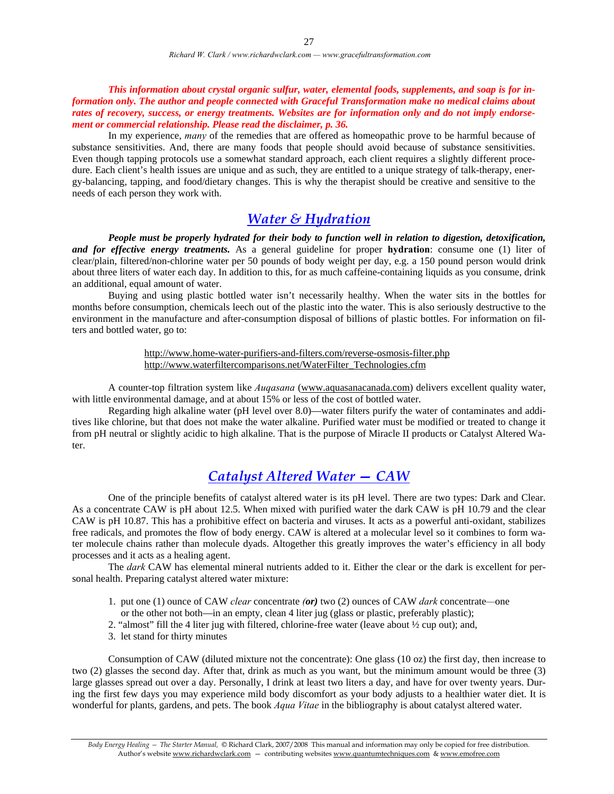*This information about crystal organic sulfur, water, elemental foods, supplements, and soap is for information only. The author and people connected with Graceful Transformation make no medical claims about rates of recovery, success, or energy treatments. Websites are for information only and do not imply endorsement or commercial relationship. Please read the disclaimer, p. 36.* 

 In my experience, *many* of the remedies that are offered as homeopathic prove to be harmful because of substance sensitivities. And, there are many foods that people should avoid because of substance sensitivities. Even though tapping protocols use a somewhat standard approach, each client requires a slightly different procedure. Each client's health issues are unique and as such, they are entitled to a unique strategy of talk-therapy, energy-balancing, tapping, and food/dietary changes. This is why the therapist should be creative and sensitive to the needs of each person they work with.

### *Water & Hydration*

*People must be properly hydrated for their body to function well in relation to digestion, detoxification, and for effective energy treatments.* As a general guideline for proper **hydration**: consume one (1) liter of clear/plain, filtered/non-chlorine water per 50 pounds of body weight per day, e.g. a 150 pound person would drink about three liters of water each day. In addition to this, for as much caffeine-containing liquids as you consume, drink an additional, equal amount of water.

 Buying and using plastic bottled water isn't necessarily healthy. When the water sits in the bottles for months before consumption, chemicals leech out of the plastic into the water. This is also seriously destructive to the environment in the manufacture and after-consumption disposal of billions of plastic bottles. For information on filters and bottled water, go to:

> http://www.home-water-purifiers-and-filters.com/reverse-osmosis-filter.php http://www.waterfiltercomparisons.net/WaterFilter\_Technologies.cfm

A counter-top filtration system like *Auqasana* (www.aquasanacanada.com) delivers excellent quality water, with little environmental damage, and at about 15% or less of the cost of bottled water.

 Regarding high alkaline water (pH level over 8.0)—water filters purify the water of contaminates and additives like chlorine, but that does not make the water alkaline. Purified water must be modified or treated to change it from pH neutral or slightly acidic to high alkaline. That is the purpose of Miracle II products or Catalyst Altered Water.

### *Catalyst Altered Water — CAW*

One of the principle benefits of catalyst altered water is its pH level. There are two types: Dark and Clear. As a concentrate CAW is pH about 12.5. When mixed with purified water the dark CAW is pH 10.79 and the clear CAW is pH 10.87. This has a prohibitive effect on bacteria and viruses. It acts as a powerful anti-oxidant, stabilizes free radicals, and promotes the flow of body energy. CAW is altered at a molecular level so it combines to form water molecule chains rather than molecule dyads. Altogether this greatly improves the water's efficiency in all body processes and it acts as a healing agent.

The *dark* CAW has elemental mineral nutrients added to it. Either the clear or the dark is excellent for personal health. Preparing catalyst altered water mixture:

- 1. put one (1) ounce of CAW *clear* concentrate *(or)* two (2) ounces of CAW *dark* concentrate*—*one
- or the other not both—in an empty, clean 4 liter jug (glass or plastic, preferably plastic);
- 2. "almost" fill the 4 liter jug with filtered, chlorine-free water (leave about ½ cup out); and,
- 3. let stand for thirty minutes

Consumption of CAW (diluted mixture not the concentrate): One glass (10 oz) the first day, then increase to two (2) glasses the second day. After that, drink as much as you want, but the minimum amount would be three (3) large glasses spread out over a day. Personally, I drink at least two liters a day, and have for over twenty years. During the first few days you may experience mild body discomfort as your body adjusts to a healthier water diet. It is wonderful for plants, gardens, and pets. The book *Aqua Vitae* in the bibliography is about catalyst altered water.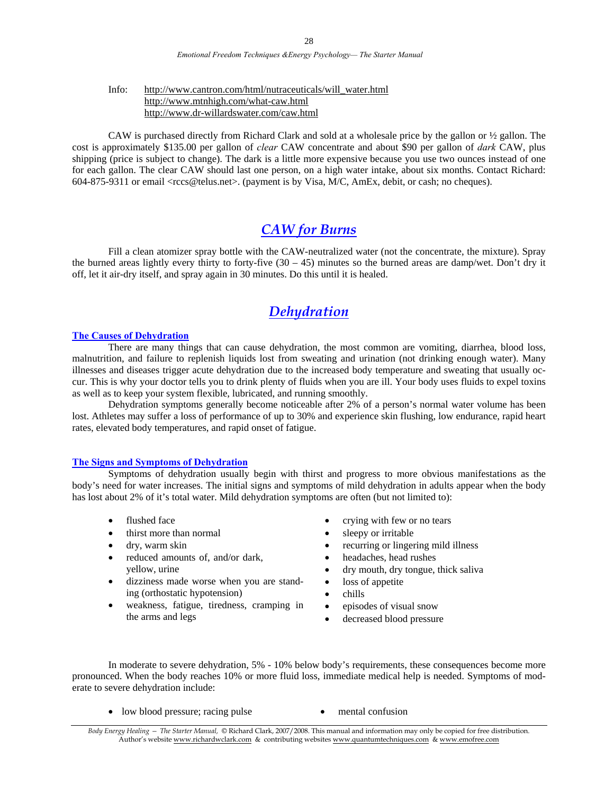#### Info: http://www.cantron.com/html/nutraceuticals/will\_water.html http://www.mtnhigh.com/what-caw.html http://www.dr-willardswater.com/caw.html

CAW is purchased directly from Richard Clark and sold at a wholesale price by the gallon or ½ gallon. The cost is approximately \$135.00 per gallon of *clear* CAW concentrate and about \$90 per gallon of *dark* CAW, plus shipping (price is subject to change). The dark is a little more expensive because you use two ounces instead of one for each gallon. The clear CAW should last one person, on a high water intake, about six months. Contact Richard: 604-875-9311 or email <rccs@telus.net>. (payment is by Visa, M/C, AmEx, debit, or cash; no cheques).

### *CAW for Burns*

Fill a clean atomizer spray bottle with the CAW-neutralized water (not the concentrate, the mixture). Spray the burned areas lightly every thirty to forty-five  $(30 - 45)$  minutes so the burned areas are damp/wet. Don't dry it off, let it air-dry itself, and spray again in 30 minutes. Do this until it is healed.

### *Dehydration*

#### **The Causes of Dehydration**

 There are many things that can cause dehydration, the most common are vomiting, diarrhea, blood loss, malnutrition, and failure to replenish liquids lost from sweating and urination (not drinking enough water). Many illnesses and diseases trigger acute dehydration due to the increased body temperature and sweating that usually occur. This is why your doctor tells you to drink plenty of fluids when you are ill. Your body uses fluids to expel toxins as well as to keep your system flexible, lubricated, and running smoothly.

Dehydration symptoms generally become noticeable after 2% of a person's normal water volume has been lost. Athletes may suffer a loss of performance of up to 30% and experience skin flushing, low endurance, rapid heart rates, elevated body temperatures, and rapid onset of fatigue.

#### **The Signs and Symptoms of Dehydration**

Symptoms of dehydration usually begin with thirst and progress to more obvious manifestations as the body's need for water increases. The initial signs and symptoms of mild dehydration in adults appear when the body has lost about 2% of it's total water. Mild dehydration symptoms are often (but not limited to):

- flushed face
- thirst more than normal
- dry, warm skin
- reduced amounts of, and/or dark, yellow, urine
- dizziness made worse when you are standing (orthostatic hypotension)
- weakness, fatigue, tiredness, cramping in the arms and legs
- crying with few or no tears
- sleepy or irritable
- recurring or lingering mild illness
- headaches, head rushes
- dry mouth, dry tongue, thick saliva
- loss of appetite
- chills
- episodes of visual snow
- decreased blood pressure

In moderate to severe dehydration, 5% - 10% below body's requirements, these consequences become more pronounced. When the body reaches 10% or more fluid loss, immediate medical help is needed. Symptoms of moderate to severe dehydration include:

- low blood pressure; racing pulse mental confusion
	-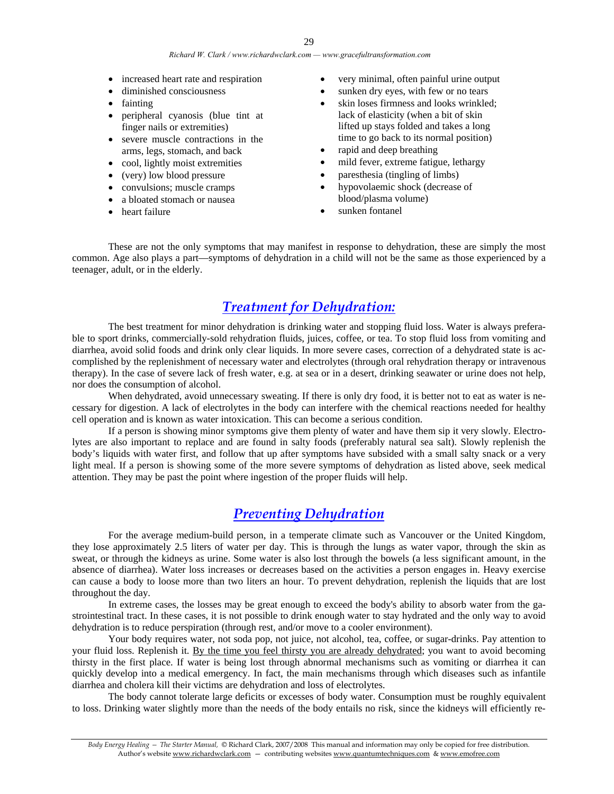- increased heart rate and respiration
- diminished consciousness
- fainting
- peripheral cyanosis (blue tint at finger nails or extremities)
- severe muscle contractions in the arms, legs, stomach, and back
- cool, lightly moist extremities
- (very) low blood pressure
- convulsions; muscle cramps
- a bloated stomach or nausea
- heart failure
- very minimal, often painful urine output
- sunken dry eyes, with few or no tears
- skin loses firmness and looks wrinkled: lack of elasticity (when a bit of skin lifted up stays folded and takes a long time to go back to its normal position)
- rapid and deep breathing
- mild fever, extreme fatigue, lethargy
- paresthesia (tingling of limbs)
- hypovolaemic shock (decrease of blood/plasma volume)
- sunken fontanel

These are not the only symptoms that may manifest in response to dehydration, these are simply the most common. Age also plays a part—symptoms of dehydration in a child will not be the same as those experienced by a teenager, adult, or in the elderly.

### *Treatment for Dehydration:*

The best treatment for minor dehydration is drinking water and stopping fluid loss. Water is always preferable to sport drinks, commercially-sold rehydration fluids, juices, coffee, or tea. To stop fluid loss from vomiting and diarrhea, avoid solid foods and drink only clear liquids. In more severe cases, correction of a dehydrated state is accomplished by the replenishment of necessary water and electrolytes (through oral rehydration therapy or intravenous therapy). In the case of severe lack of fresh water, e.g. at sea or in a desert, drinking seawater or urine does not help, nor does the consumption of alcohol.

When dehydrated, avoid unnecessary sweating. If there is only dry food, it is better not to eat as water is necessary for digestion. A lack of electrolytes in the body can interfere with the chemical reactions needed for healthy cell operation and is known as water intoxication. This can become a serious condition.

If a person is showing minor symptoms give them plenty of water and have them sip it very slowly. Electrolytes are also important to replace and are found in salty foods (preferably natural sea salt). Slowly replenish the body's liquids with water first, and follow that up after symptoms have subsided with a small salty snack or a very light meal. If a person is showing some of the more severe symptoms of dehydration as listed above, seek medical attention. They may be past the point where ingestion of the proper fluids will help.

### *Preventing Dehydration*

For the average medium-build person, in a temperate climate such as Vancouver or the United Kingdom, they lose approximately 2.5 liters of water per day. This is through the lungs as water vapor, through the skin as sweat, or through the kidneys as urine. Some water is also lost through the bowels (a less significant amount, in the absence of diarrhea). Water loss increases or decreases based on the activities a person engages in. Heavy exercise can cause a body to loose more than two liters an hour. To prevent dehydration, replenish the liquids that are lost throughout the day.

In extreme cases, the losses may be great enough to exceed the body's ability to absorb water from the gastrointestinal tract. In these cases, it is not possible to drink enough water to stay hydrated and the only way to avoid dehydration is to reduce perspiration (through rest, and/or move to a cooler environment).

Your body requires water, not soda pop, not juice, not alcohol, tea, coffee, or sugar-drinks. Pay attention to your fluid loss. Replenish it. By the time you feel thirsty you are already dehydrated; you want to avoid becoming thirsty in the first place. If water is being lost through abnormal mechanisms such as vomiting or diarrhea it can quickly develop into a medical emergency. In fact, the main mechanisms through which diseases such as infantile diarrhea and cholera kill their victims are dehydration and loss of electrolytes.

The body cannot tolerate large deficits or excesses of body water. Consumption must be roughly equivalent to loss. Drinking water slightly more than the needs of the body entails no risk, since the kidneys will efficiently re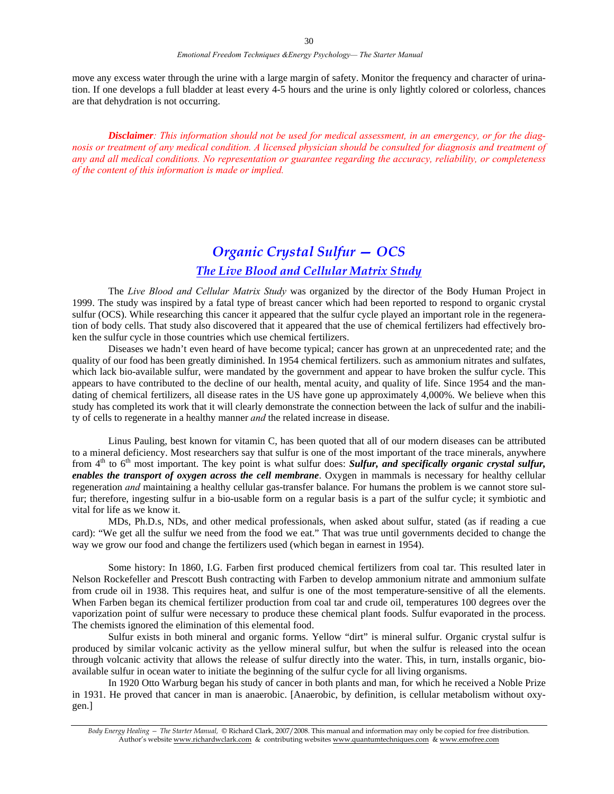move any excess water through the urine with a large margin of safety. Monitor the frequency and character of urination. If one develops a full bladder at least every 4-5 hours and the urine is only lightly colored or colorless, chances are that dehydration is not occurring.

*Disclaimer: This information should not be used for medical assessment, in an emergency, or for the diagnosis or treatment of any medical condition. A licensed physician should be consulted for diagnosis and treatment of any and all medical conditions. No representation or guarantee regarding the accuracy, reliability, or completeness of the content of this information is made or implied.* 

## *Organic Crystal Sulfur — OCS*

### *The Live Blood and Cellular Matrix Study*

The *Live Blood and Cellular Matrix Study* was organized by the director of the Body Human Project in 1999. The study was inspired by a fatal type of breast cancer which had been reported to respond to organic crystal sulfur (OCS). While researching this cancer it appeared that the sulfur cycle played an important role in the regeneration of body cells. That study also discovered that it appeared that the use of chemical fertilizers had effectively broken the sulfur cycle in those countries which use chemical fertilizers.

Diseases we hadn't even heard of have become typical; cancer has grown at an unprecedented rate; and the quality of our food has been greatly diminished. In 1954 chemical fertilizers. such as ammonium nitrates and sulfates, which lack bio-available sulfur, were mandated by the government and appear to have broken the sulfur cycle. This appears to have contributed to the decline of our health, mental acuity, and quality of life. Since 1954 and the mandating of chemical fertilizers, all disease rates in the US have gone up approximately 4,000%. We believe when this study has completed its work that it will clearly demonstrate the connection between the lack of sulfur and the inability of cells to regenerate in a healthy manner *and* the related increase in disease.

Linus Pauling, best known for vitamin C, has been quoted that all of our modern diseases can be attributed to a mineral deficiency. Most researchers say that sulfur is one of the most important of the trace minerals, anywhere from 4<sup>th</sup> to 6<sup>th</sup> most important. The key point is what sulfur does: *Sulfur, and specifically organic crystal sulfur, enables the transport of oxygen across the cell membrane*. Oxygen in mammals is necessary for healthy cellular regeneration *and* maintaining a healthy cellular gas-transfer balance. For humans the problem is we cannot store sulfur; therefore, ingesting sulfur in a bio-usable form on a regular basis is a part of the sulfur cycle; it symbiotic and vital for life as we know it.

 MDs, Ph.D.s, NDs, and other medical professionals, when asked about sulfur, stated (as if reading a cue card): "We get all the sulfur we need from the food we eat." That was true until governments decided to change the way we grow our food and change the fertilizers used (which began in earnest in 1954).

Some history: In 1860, I.G. Farben first produced chemical fertilizers from coal tar. This resulted later in Nelson Rockefeller and Prescott Bush contracting with Farben to develop ammonium nitrate and ammonium sulfate from crude oil in 1938. This requires heat, and sulfur is one of the most temperature-sensitive of all the elements. When Farben began its chemical fertilizer production from coal tar and crude oil, temperatures 100 degrees over the vaporization point of sulfur were necessary to produce these chemical plant foods. Sulfur evaporated in the process. The chemists ignored the elimination of this elemental food.

Sulfur exists in both mineral and organic forms. Yellow "dirt" is mineral sulfur. Organic crystal sulfur is produced by similar volcanic activity as the yellow mineral sulfur, but when the sulfur is released into the ocean through volcanic activity that allows the release of sulfur directly into the water. This, in turn, installs organic, bioavailable sulfur in ocean water to initiate the beginning of the sulfur cycle for all living organisms.

In 1920 Otto Warburg began his study of cancer in both plants and man, for which he received a Noble Prize in 1931. He proved that cancer in man is anaerobic. [Anaerobic, by definition, is cellular metabolism without oxygen.]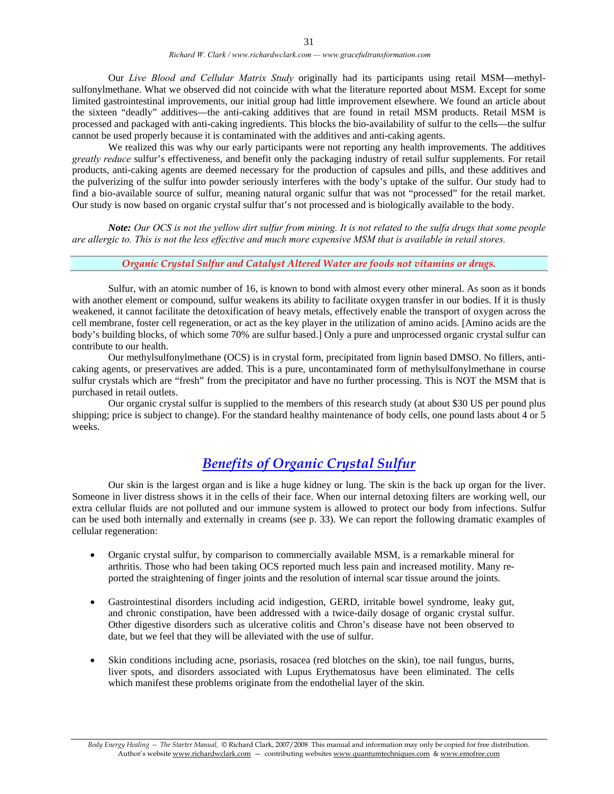Our *Live Blood and Cellular Matrix Study* originally had its participants using retail MSM—methylsulfonylmethane. What we observed did not coincide with what the literature reported about MSM. Except for some limited gastrointestinal improvements, our initial group had little improvement elsewhere. We found an article about the sixteen "deadly" additives—the anti-caking additives that are found in retail MSM products. Retail MSM is processed and packaged with anti-caking ingredients. This blocks the bio-availability of sulfur to the cells—the sulfur cannot be used properly because it is contaminated with the additives and anti-caking agents.

We realized this was why our early participants were not reporting any health improvements. The additives *greatly reduce* sulfur's effectiveness, and benefit only the packaging industry of retail sulfur supplements. For retail products, anti-caking agents are deemed necessary for the production of capsules and pills, and these additives and the pulverizing of the sulfur into powder seriously interferes with the body's uptake of the sulfur. Our study had to find a bio-available source of sulfur, meaning natural organic sulfur that was not "processed" for the retail market. Our study is now based on organic crystal sulfur that's not processed and is biologically available to the body.

*Note: Our OCS is not the yellow dirt sulfur from mining. It is not related to the sulfa drugs that some people are allergic to. This is not the less effective and much more expensive MSM that is available in retail stores.* 

#### *Organic Crystal Sulfur and Catalyst Altered Water are foods not vitamins or drugs.*

 Sulfur, with an atomic number of 16, is known to bond with almost every other mineral. As soon as it bonds with another element or compound, sulfur weakens its ability to facilitate oxygen transfer in our bodies. If it is thusly weakened, it cannot facilitate the detoxification of heavy metals, effectively enable the transport of oxygen across the cell membrane, foster cell regeneration, or act as the key player in the utilization of amino acids. [Amino acids are the body's building blocks, of which some 70% are sulfur based.] Only a pure and unprocessed organic crystal sulfur can contribute to our health.

Our methylsulfonylmethane (OCS) is in crystal form, precipitated from lignin based DMSO. No fillers, anticaking agents, or preservatives are added. This is a pure, uncontaminated form of methylsulfonylmethane in course sulfur crystals which are "fresh" from the precipitator and have no further processing. This is NOT the MSM that is purchased in retail outlets.

 Our organic crystal sulfur is supplied to the members of this research study (at about \$30 US per pound plus shipping; price is subject to change). For the standard healthy maintenance of body cells, one pound lasts about 4 or 5 weeks.

### *Benefits of Organic Crystal Sulfur*

Our skin is the largest organ and is like a huge kidney or lung. The skin is the back up organ for the liver. Someone in liver distress shows it in the cells of their face. When our internal detoxing filters are working well, our extra cellular fluids are not polluted and our immune system is allowed to protect our body from infections. Sulfur can be used both internally and externally in creams (see p. 33). We can report the following dramatic examples of cellular regeneration:

- Organic crystal sulfur, by comparison to commercially available MSM, is a remarkable mineral for arthritis. Those who had been taking OCS reported much less pain and increased motility. Many reported the straightening of finger joints and the resolution of internal scar tissue around the joints.
- Gastrointestinal disorders including acid indigestion, GERD, irritable bowel syndrome, leaky gut, and chronic constipation, have been addressed with a twice-daily dosage of organic crystal sulfur. Other digestive disorders such as ulcerative colitis and Chron's disease have not been observed to date, but we feel that they will be alleviated with the use of sulfur.
- Skin conditions including acne, psoriasis, rosacea (red blotches on the skin), toe nail fungus, burns, liver spots, and disorders associated with Lupus Erythematosus have been eliminated. The cells which manifest these problems originate from the endothelial layer of the skin.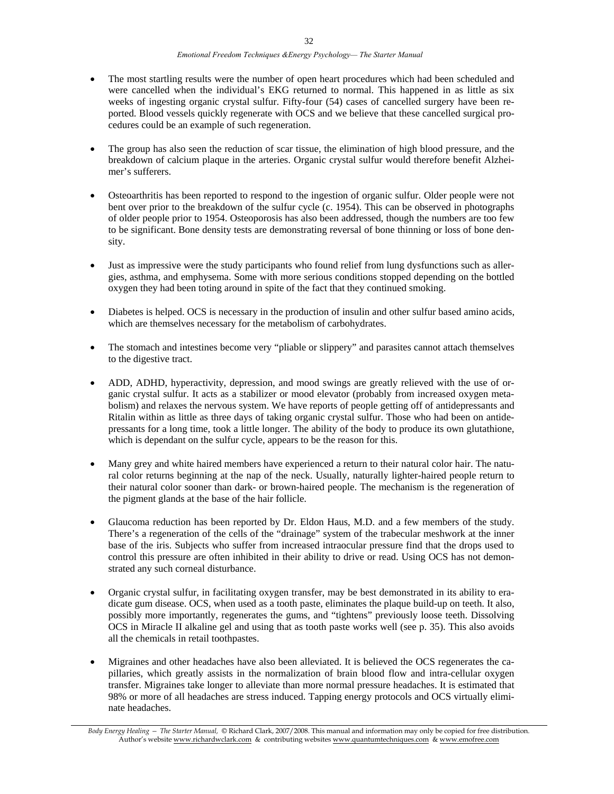- The most startling results were the number of open heart procedures which had been scheduled and were cancelled when the individual's EKG returned to normal. This happened in as little as six weeks of ingesting organic crystal sulfur. Fifty-four (54) cases of cancelled surgery have been reported. Blood vessels quickly regenerate with OCS and we believe that these cancelled surgical procedures could be an example of such regeneration.
- The group has also seen the reduction of scar tissue, the elimination of high blood pressure, and the breakdown of calcium plaque in the arteries. Organic crystal sulfur would therefore benefit Alzheimer's sufferers.
- Osteoarthritis has been reported to respond to the ingestion of organic sulfur. Older people were not bent over prior to the breakdown of the sulfur cycle (c. 1954). This can be observed in photographs of older people prior to 1954. Osteoporosis has also been addressed, though the numbers are too few to be significant. Bone density tests are demonstrating reversal of bone thinning or loss of bone density.
- Just as impressive were the study participants who found relief from lung dysfunctions such as allergies, asthma, and emphysema. Some with more serious conditions stopped depending on the bottled oxygen they had been toting around in spite of the fact that they continued smoking.
- Diabetes is helped. OCS is necessary in the production of insulin and other sulfur based amino acids, which are themselves necessary for the metabolism of carbohydrates.
- The stomach and intestines become very "pliable or slippery" and parasites cannot attach themselves to the digestive tract.
- ADD, ADHD, hyperactivity, depression, and mood swings are greatly relieved with the use of organic crystal sulfur. It acts as a stabilizer or mood elevator (probably from increased oxygen metabolism) and relaxes the nervous system. We have reports of people getting off of antidepressants and Ritalin within as little as three days of taking organic crystal sulfur. Those who had been on antidepressants for a long time, took a little longer. The ability of the body to produce its own glutathione, which is dependant on the sulfur cycle, appears to be the reason for this.
- Many grey and white haired members have experienced a return to their natural color hair. The natural color returns beginning at the nap of the neck. Usually, naturally lighter-haired people return to their natural color sooner than dark- or brown-haired people. The mechanism is the regeneration of the pigment glands at the base of the hair follicle.
- Glaucoma reduction has been reported by Dr. Eldon Haus, M.D. and a few members of the study. There's a regeneration of the cells of the "drainage" system of the trabecular meshwork at the inner base of the iris. Subjects who suffer from increased intraocular pressure find that the drops used to control this pressure are often inhibited in their ability to drive or read. Using OCS has not demonstrated any such corneal disturbance.
- Organic crystal sulfur, in facilitating oxygen transfer, may be best demonstrated in its ability to eradicate gum disease. OCS, when used as a tooth paste, eliminates the plaque build-up on teeth. It also, possibly more importantly, regenerates the gums, and "tightens" previously loose teeth. Dissolving OCS in Miracle II alkaline gel and using that as tooth paste works well (see p. 35). This also avoids all the chemicals in retail toothpastes.
- Migraines and other headaches have also been alleviated. It is believed the OCS regenerates the capillaries, which greatly assists in the normalization of brain blood flow and intra-cellular oxygen transfer. Migraines take longer to alleviate than more normal pressure headaches. It is estimated that 98% or more of all headaches are stress induced. Tapping energy protocols and OCS virtually eliminate headaches.

*Body Energy Healing — The Starter Manual,* © Richard Clark, 2007/2008. This manual and information may only be copied for free distribution. Author's website www.richardwclark.com & contributing websites www.quantumtechniques.com & www.emofree.com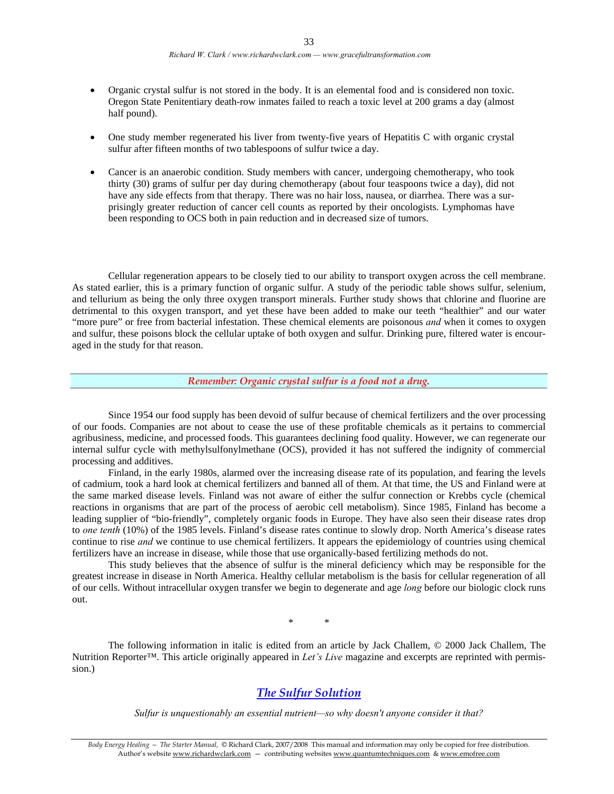- Organic crystal sulfur is not stored in the body. It is an elemental food and is considered non toxic. Oregon State Penitentiary death-row inmates failed to reach a toxic level at 200 grams a day (almost half pound).
- One study member regenerated his liver from twenty-five years of Hepatitis C with organic crystal sulfur after fifteen months of two tablespoons of sulfur twice a day.
- Cancer is an anaerobic condition. Study members with cancer, undergoing chemotherapy, who took thirty (30) grams of sulfur per day during chemotherapy (about four teaspoons twice a day), did not have any side effects from that therapy. There was no hair loss, nausea, or diarrhea. There was a surprisingly greater reduction of cancer cell counts as reported by their oncologists. Lymphomas have been responding to OCS both in pain reduction and in decreased size of tumors.

Cellular regeneration appears to be closely tied to our ability to transport oxygen across the cell membrane. As stated earlier, this is a primary function of organic sulfur. A study of the periodic table shows sulfur, selenium, and tellurium as being the only three oxygen transport minerals. Further study shows that chlorine and fluorine are detrimental to this oxygen transport, and yet these have been added to make our teeth "healthier" and our water "more pure" or free from bacterial infestation. These chemical elements are poisonous *and* when it comes to oxygen and sulfur, these poisons block the cellular uptake of both oxygen and sulfur. Drinking pure, filtered water is encouraged in the study for that reason.

*Remember: Organic crystal sulfur is a food not a drug.* 

 Since 1954 our food supply has been devoid of sulfur because of chemical fertilizers and the over processing of our foods. Companies are not about to cease the use of these profitable chemicals as it pertains to commercial agribusiness, medicine, and processed foods. This guarantees declining food quality. However, we can regenerate our internal sulfur cycle with methylsulfonylmethane (OCS), provided it has not suffered the indignity of commercial processing and additives.

 Finland, in the early 1980s, alarmed over the increasing disease rate of its population, and fearing the levels of cadmium, took a hard look at chemical fertilizers and banned all of them. At that time, the US and Finland were at the same marked disease levels. Finland was not aware of either the sulfur connection or Krebbs cycle (chemical reactions in organisms that are part of the process of aerobic cell metabolism). Since 1985, Finland has become a leading supplier of "bio-friendly", completely organic foods in Europe. They have also seen their disease rates drop to *one tenth* (10%) of the 1985 levels. Finland's disease rates continue to slowly drop. North America's disease rates continue to rise *and* we continue to use chemical fertilizers. It appears the epidemiology of countries using chemical fertilizers have an increase in disease, while those that use organically-based fertilizing methods do not.

 This study believes that the absence of sulfur is the mineral deficiency which may be responsible for the greatest increase in disease in North America. Healthy cellular metabolism is the basis for cellular regeneration of all of our cells. Without intracellular oxygen transfer we begin to degenerate and age *long* before our biologic clock runs out.

\* \*

The following information in italic is edited from an article by Jack Challem, © 2000 Jack Challem, The Nutrition Reporter™. This article originally appeared in *Let's Live* magazine and excerpts are reprinted with permission.)

### *The Sulfur Solution*

*Sulfur is unquestionably an essential nutrient—so why doesn't anyone consider it that?*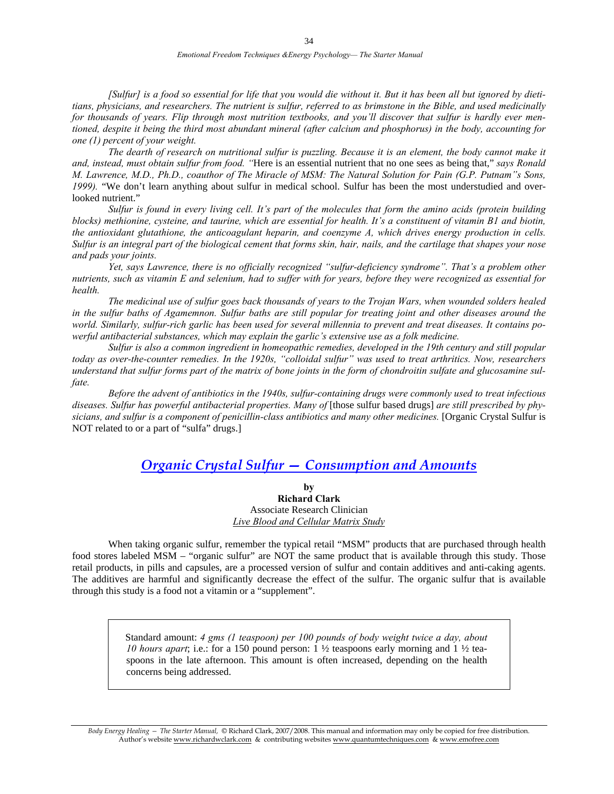*[Sulfur] is a food so essential for life that you would die without it. But it has been all but ignored by dietitians, physicians, and researchers. The nutrient is sulfur, referred to as brimstone in the Bible, and used medicinally for thousands of years. Flip through most nutrition textbooks, and you'll discover that sulfur is hardly ever mentioned, despite it being the third most abundant mineral (after calcium and phosphorus) in the body, accounting for one (1) percent of your weight.* 

*The dearth of research on nutritional sulfur is puzzling. Because it is an element, the body cannot make it and, instead, must obtain sulfur from food. "*Here is an essential nutrient that no one sees as being that," *says Ronald M. Lawrence, M.D., Ph.D., coauthor of The Miracle of MSM: The Natural Solution for Pain (G.P. Putnam"s Sons, 1999).* "We don't learn anything about sulfur in medical school. Sulfur has been the most understudied and overlooked nutrient."

 *Sulfur is found in every living cell. It's part of the molecules that form the amino acids (protein building blocks) methionine, cysteine, and taurine, which are essential for health. It's a constituent of vitamin B1 and biotin, the antioxidant glutathione, the anticoagulant heparin, and coenzyme A, which drives energy production in cells. Sulfur is an integral part of the biological cement that forms skin, hair, nails, and the cartilage that shapes your nose and pads your joints.* 

 *Yet, says Lawrence, there is no officially recognized "sulfur-deficiency syndrome". That's a problem other nutrients, such as vitamin E and selenium, had to suffer with for years, before they were recognized as essential for health.* 

*The medicinal use of sulfur goes back thousands of years to the Trojan Wars, when wounded solders healed in the sulfur baths of Agamemnon. Sulfur baths are still popular for treating joint and other diseases around the world. Similarly, sulfur-rich garlic has been used for several millennia to prevent and treat diseases. It contains powerful antibacterial substances, which may explain the garlic's extensive use as a folk medicine.* 

 *Sulfur is also a common ingredient in homeopathic remedies, developed in the 19th century and still popular today as over-the-counter remedies. In the 1920s, "colloidal sulfur" was used to treat arthritics. Now, researchers understand that sulfur forms part of the matrix of bone joints in the form of chondroitin sulfate and glucosamine sulfate.* 

 *Before the advent of antibiotics in the 1940s, sulfur-containing drugs were commonly used to treat infectious*  diseases. Sulfur has powerful antibacterial properties. Many of [those sulfur based drugs] *are still prescribed by physicians, and sulfur is a component of penicillin-class antibiotics and many other medicines.* [Organic Crystal Sulfur is NOT related to or a part of "sulfa" drugs.]

### *Organic Crystal Sulfur — Consumption and Amounts*

**by Richard Clark**  Associate Research Clinician *Live Blood and Cellular Matrix Study*

 When taking organic sulfur, remember the typical retail "MSM" products that are purchased through health food stores labeled MSM – "organic sulfur" are NOT the same product that is available through this study. Those retail products, in pills and capsules, are a processed version of sulfur and contain additives and anti-caking agents. The additives are harmful and significantly decrease the effect of the sulfur. The organic sulfur that is available through this study is a food not a vitamin or a "supplement".

> Standard amount: *4 gms (1 teaspoon) per 100 pounds of body weight twice a day, about 10 hours apart*; i.e.: for a 150 pound person: 1 ½ teaspoons early morning and 1 ½ teaspoons in the late afternoon. This amount is often increased, depending on the health concerns being addressed.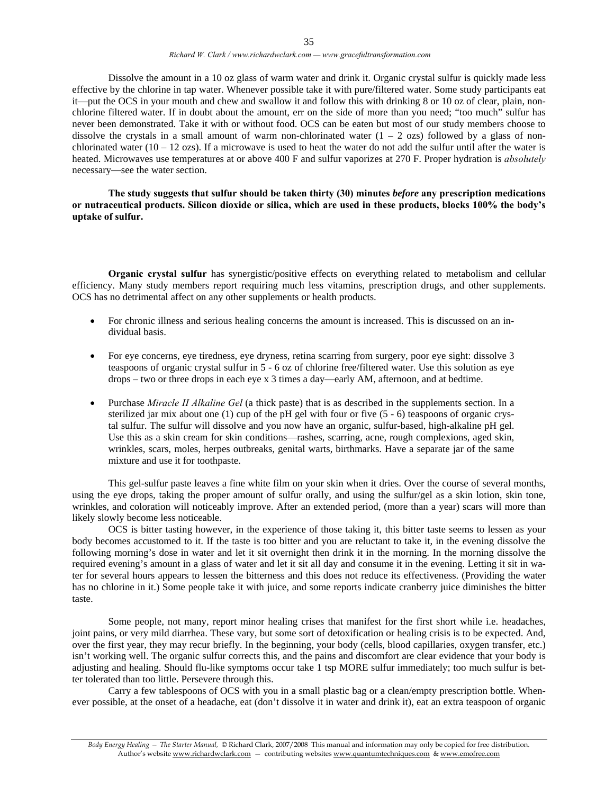Dissolve the amount in a 10 oz glass of warm water and drink it. Organic crystal sulfur is quickly made less effective by the chlorine in tap water. Whenever possible take it with pure/filtered water. Some study participants eat it—put the OCS in your mouth and chew and swallow it and follow this with drinking 8 or 10 oz of clear, plain, nonchlorine filtered water. If in doubt about the amount, err on the side of more than you need; "too much" sulfur has never been demonstrated. Take it with or without food. OCS can be eaten but most of our study members choose to dissolve the crystals in a small amount of warm non-chlorinated water  $(1 - 2 \text{ ozs})$  followed by a glass of nonchlorinated water ( $10 - 12$  ozs). If a microwave is used to heat the water do not add the sulfur until after the water is heated. Microwaves use temperatures at or above 400 F and sulfur vaporizes at 270 F. Proper hydration is *absolutely*  necessary—see the water section.

**The study suggests that sulfur should be taken thirty (30) minutes** *before* **any prescription medications or nutraceutical products. Silicon dioxide or silica, which are used in these products, blocks 100% the body's uptake of sulfur.** 

 **Organic crystal sulfur** has synergistic/positive effects on everything related to metabolism and cellular efficiency. Many study members report requiring much less vitamins, prescription drugs, and other supplements. OCS has no detrimental affect on any other supplements or health products.

- For chronic illness and serious healing concerns the amount is increased. This is discussed on an individual basis.
- For eye concerns, eye tiredness, eye dryness, retina scarring from surgery, poor eye sight: dissolve 3 teaspoons of organic crystal sulfur in 5 - 6 oz of chlorine free/filtered water. Use this solution as eye drops – two or three drops in each eye x 3 times a day—early AM, afternoon, and at bedtime.
- Purchase *Miracle II Alkaline Gel* (a thick paste) that is as described in the supplements section. In a sterilized jar mix about one (1) cup of the pH gel with four or five  $(5 - 6)$  teaspoons of organic crystal sulfur. The sulfur will dissolve and you now have an organic, sulfur-based, high-alkaline pH gel. Use this as a skin cream for skin conditions—rashes, scarring, acne, rough complexions, aged skin, wrinkles, scars, moles, herpes outbreaks, genital warts, birthmarks. Have a separate jar of the same mixture and use it for toothpaste.

This gel-sulfur paste leaves a fine white film on your skin when it dries. Over the course of several months, using the eye drops, taking the proper amount of sulfur orally, and using the sulfur/gel as a skin lotion, skin tone, wrinkles, and coloration will noticeably improve. After an extended period, (more than a year) scars will more than likely slowly become less noticeable.

 OCS is bitter tasting however, in the experience of those taking it, this bitter taste seems to lessen as your body becomes accustomed to it. If the taste is too bitter and you are reluctant to take it, in the evening dissolve the following morning's dose in water and let it sit overnight then drink it in the morning. In the morning dissolve the required evening's amount in a glass of water and let it sit all day and consume it in the evening. Letting it sit in water for several hours appears to lessen the bitterness and this does not reduce its effectiveness. (Providing the water has no chlorine in it.) Some people take it with juice, and some reports indicate cranberry juice diminishes the bitter taste.

 Some people, not many, report minor healing crises that manifest for the first short while i.e. headaches, joint pains, or very mild diarrhea. These vary, but some sort of detoxification or healing crisis is to be expected. And, over the first year, they may recur briefly. In the beginning, your body (cells, blood capillaries, oxygen transfer, etc.) isn't working well. The organic sulfur corrects this, and the pains and discomfort are clear evidence that your body is adjusting and healing. Should flu-like symptoms occur take 1 tsp MORE sulfur immediately; too much sulfur is better tolerated than too little. Persevere through this.

 Carry a few tablespoons of OCS with you in a small plastic bag or a clean/empty prescription bottle. Whenever possible, at the onset of a headache, eat (don't dissolve it in water and drink it), eat an extra teaspoon of organic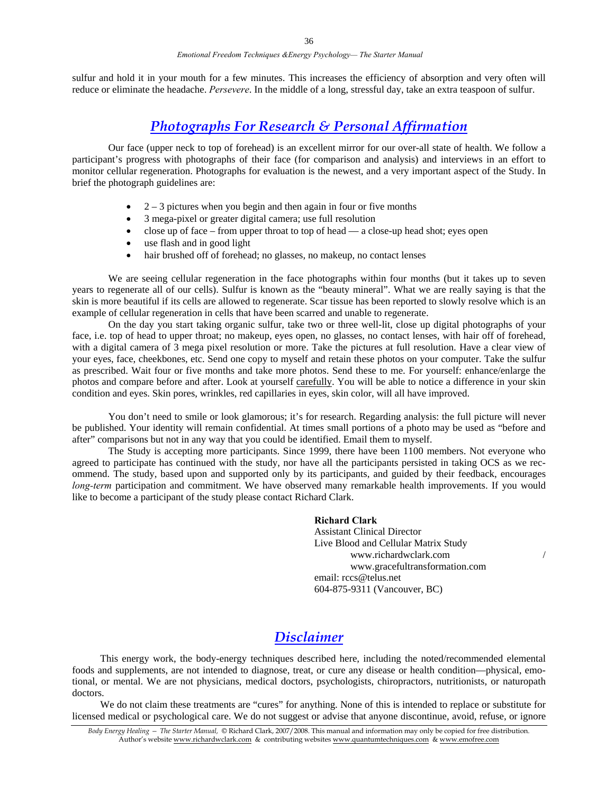sulfur and hold it in your mouth for a few minutes. This increases the efficiency of absorption and very often will reduce or eliminate the headache. *Persevere*. In the middle of a long, stressful day, take an extra teaspoon of sulfur.

### *Photographs For Research & Personal Affirmation*

Our face (upper neck to top of forehead) is an excellent mirror for our over-all state of health. We follow a participant's progress with photographs of their face (for comparison and analysis) and interviews in an effort to monitor cellular regeneration. Photographs for evaluation is the newest, and a very important aspect of the Study. In brief the photograph guidelines are:

- $2 3$  pictures when you begin and then again in four or five months
- 3 mega-pixel or greater digital camera; use full resolution
- $\bullet$  close up of face from upper throat to top of head a close-up head shot; eyes open
- use flash and in good light
- hair brushed off of forehead; no glasses, no makeup, no contact lenses

 We are seeing cellular regeneration in the face photographs within four months (but it takes up to seven years to regenerate all of our cells). Sulfur is known as the "beauty mineral". What we are really saying is that the skin is more beautiful if its cells are allowed to regenerate. Scar tissue has been reported to slowly resolve which is an example of cellular regeneration in cells that have been scarred and unable to regenerate.

On the day you start taking organic sulfur, take two or three well-lit, close up digital photographs of your face, i.e. top of head to upper throat; no makeup, eyes open, no glasses, no contact lenses, with hair off of forehead, with a digital camera of 3 mega pixel resolution or more. Take the pictures at full resolution. Have a clear view of your eyes, face, cheekbones, etc. Send one copy to myself and retain these photos on your computer. Take the sulfur as prescribed. Wait four or five months and take more photos. Send these to me. For yourself: enhance/enlarge the photos and compare before and after. Look at yourself carefully. You will be able to notice a difference in your skin condition and eyes. Skin pores, wrinkles, red capillaries in eyes, skin color, will all have improved.

You don't need to smile or look glamorous; it's for research. Regarding analysis: the full picture will never be published. Your identity will remain confidential. At times small portions of a photo may be used as "before and after" comparisons but not in any way that you could be identified. Email them to myself.

 The Study is accepting more participants. Since 1999, there have been 1100 members. Not everyone who agreed to participate has continued with the study, nor have all the participants persisted in taking OCS as we recommend. The study, based upon and supported only by its participants, and guided by their feedback, encourages *long-term* participation and commitment. We have observed many remarkable health improvements. If you would like to become a participant of the study please contact Richard Clark.

> **Richard Clark**  Assistant Clinical Director Live Blood and Cellular Matrix Study www.richardwclark.com / www.gracefultransformation.com email: rccs@telus.net 604-875-9311 (Vancouver, BC)

### *Disclaimer*

 This energy work, the body-energy techniques described here, including the noted/recommended elemental foods and supplements, are not intended to diagnose, treat, or cure any disease or health condition—physical, emotional, or mental. We are not physicians, medical doctors, psychologists, chiropractors, nutritionists, or naturopath doctors.

 We do not claim these treatments are "cures" for anything. None of this is intended to replace or substitute for licensed medical or psychological care. We do not suggest or advise that anyone discontinue, avoid, refuse, or ignore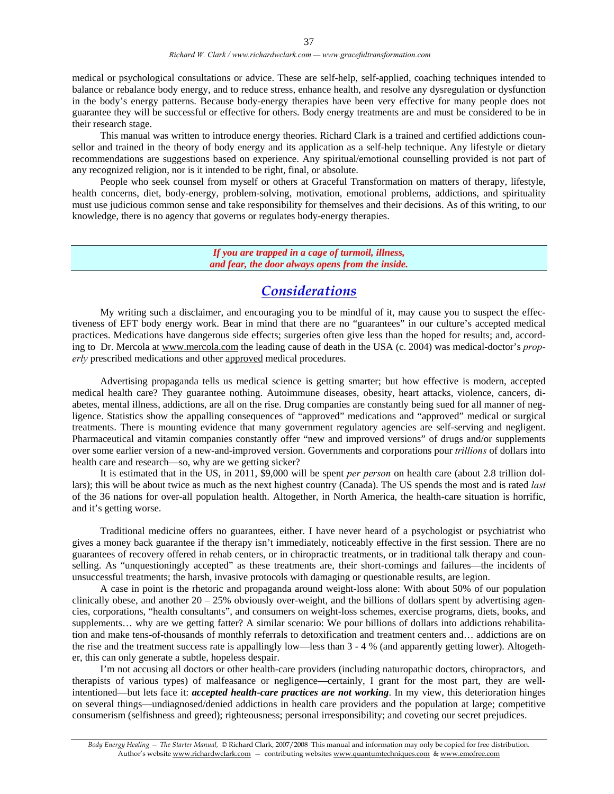medical or psychological consultations or advice. These are self-help, self-applied, coaching techniques intended to balance or rebalance body energy, and to reduce stress, enhance health, and resolve any dysregulation or dysfunction in the body's energy patterns. Because body-energy therapies have been very effective for many people does not guarantee they will be successful or effective for others. Body energy treatments are and must be considered to be in their research stage.

 This manual was written to introduce energy theories. Richard Clark is a trained and certified addictions counsellor and trained in the theory of body energy and its application as a self-help technique. Any lifestyle or dietary recommendations are suggestions based on experience. Any spiritual/emotional counselling provided is not part of any recognized religion, nor is it intended to be right, final, or absolute.

 People who seek counsel from myself or others at Graceful Transformation on matters of therapy, lifestyle, health concerns, diet, body-energy, problem-solving, motivation, emotional problems, addictions, and spirituality must use judicious common sense and take responsibility for themselves and their decisions. As of this writing, to our knowledge, there is no agency that governs or regulates body-energy therapies.

> *If you are trapped in a cage of turmoil, illness, and fear, the door always opens from the inside.*

### *Considerations*

 My writing such a disclaimer, and encouraging you to be mindful of it, may cause you to suspect the effectiveness of EFT body energy work. Bear in mind that there are no "guarantees" in our culture's accepted medical practices. Medications have dangerous side effects; surgeries often give less than the hoped for results; and, according to Dr. Mercola at www.mercola.com the leading cause of death in the USA (c. 2004) was medical-doctor's *properly* prescribed medications and other approved medical procedures.

 Advertising propaganda tells us medical science is getting smarter; but how effective is modern, accepted medical health care? They guarantee nothing. Autoimmune diseases, obesity, heart attacks, violence, cancers, diabetes, mental illness, addictions, are all on the rise. Drug companies are constantly being sued for all manner of negligence. Statistics show the appalling consequences of "approved" medications and "approved" medical or surgical treatments. There is mounting evidence that many government regulatory agencies are self-serving and negligent. Pharmaceutical and vitamin companies constantly offer "new and improved versions" of drugs and/or supplements over some earlier version of a new-and-improved version. Governments and corporations pour *trillions* of dollars into health care and research—so, why are we getting sicker?

 It is estimated that in the US, in 2011, \$9,000 will be spent *per person* on health care (about 2.8 trillion dollars); this will be about twice as much as the next highest country (Canada). The US spends the most and is rated *last* of the 36 nations for over-all population health. Altogether, in North America, the health-care situation is horrific, and it's getting worse.

 Traditional medicine offers no guarantees, either. I have never heard of a psychologist or psychiatrist who gives a money back guarantee if the therapy isn't immediately, noticeably effective in the first session. There are no guarantees of recovery offered in rehab centers, or in chiropractic treatments, or in traditional talk therapy and counselling. As "unquestioningly accepted" as these treatments are, their short-comings and failures—the incidents of unsuccessful treatments; the harsh, invasive protocols with damaging or questionable results, are legion.

 A case in point is the rhetoric and propaganda around weight-loss alone: With about 50% of our population clinically obese, and another  $20 - 25%$  obviously over-weight, and the billions of dollars spent by advertising agencies, corporations, "health consultants", and consumers on weight-loss schemes, exercise programs, diets, books, and supplements... why are we getting fatter? A similar scenario: We pour billions of dollars into addictions rehabilitation and make tens-of-thousands of monthly referrals to detoxification and treatment centers and… addictions are on the rise and the treatment success rate is appallingly low—less than 3 - 4 % (and apparently getting lower). Altogether, this can only generate a subtle, hopeless despair.

 I'm not accusing all doctors or other health-care providers (including naturopathic doctors, chiropractors, and therapists of various types) of malfeasance or negligence—certainly, I grant for the most part, they are wellintentioned—but lets face it: *accepted health-care practices are not working*. In my view, this deterioration hinges on several things—undiagnosed/denied addictions in health care providers and the population at large; competitive consumerism (selfishness and greed); righteousness; personal irresponsibility; and coveting our secret prejudices.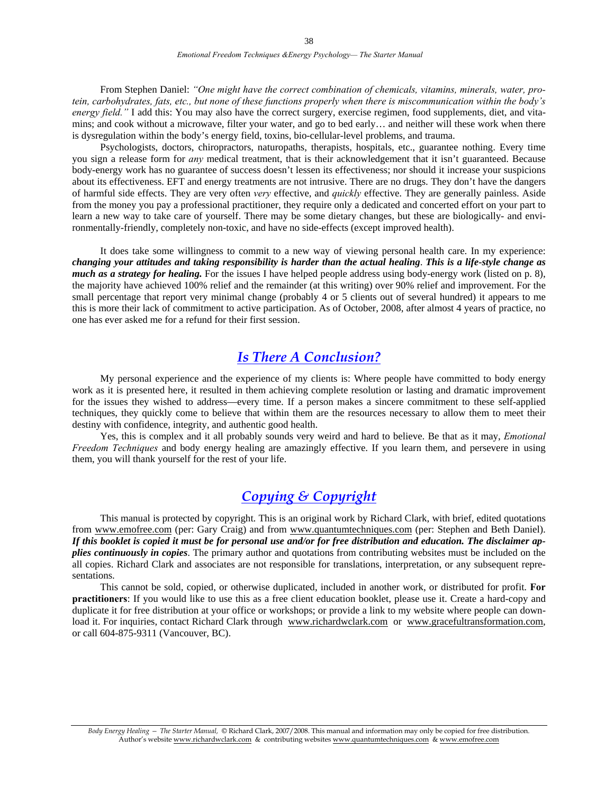From Stephen Daniel: *"One might have the correct combination of chemicals, vitamins, minerals, water, protein, carbohydrates, fats, etc., but none of these functions properly when there is miscommunication within the body's energy field."* I add this: You may also have the correct surgery, exercise regimen, food supplements, diet, and vitamins; and cook without a microwave, filter your water, and go to bed early… and neither will these work when there is dysregulation within the body's energy field, toxins, bio-cellular-level problems, and trauma.

 Psychologists, doctors, chiropractors, naturopaths, therapists, hospitals, etc., guarantee nothing. Every time you sign a release form for *any* medical treatment, that is their acknowledgement that it isn't guaranteed. Because body-energy work has no guarantee of success doesn't lessen its effectiveness; nor should it increase your suspicions about its effectiveness. EFT and energy treatments are not intrusive. There are no drugs. They don't have the dangers of harmful side effects. They are very often *very* effective, and *quickly* effective. They are generally painless. Aside from the money you pay a professional practitioner, they require only a dedicated and concerted effort on your part to learn a new way to take care of yourself. There may be some dietary changes, but these are biologically- and environmentally-friendly, completely non-toxic, and have no side-effects (except improved health).

 It does take some willingness to commit to a new way of viewing personal health care. In my experience: *changing your attitudes and taking responsibility is harder than the actual healing*. *This is a life-style change as much as a strategy for healing*. For the issues I have helped people address using body-energy work (listed on p. 8), the majority have achieved 100% relief and the remainder (at this writing) over 90% relief and improvement. For the small percentage that report very minimal change (probably 4 or 5 clients out of several hundred) it appears to me this is more their lack of commitment to active participation. As of October, 2008, after almost 4 years of practice, no one has ever asked me for a refund for their first session.

### *Is There A Conclusion?*

 My personal experience and the experience of my clients is: Where people have committed to body energy work as it is presented here, it resulted in them achieving complete resolution or lasting and dramatic improvement for the issues they wished to address—every time. If a person makes a sincere commitment to these self-applied techniques, they quickly come to believe that within them are the resources necessary to allow them to meet their destiny with confidence, integrity, and authentic good health.

 Yes, this is complex and it all probably sounds very weird and hard to believe. Be that as it may, *Emotional Freedom Techniques* and body energy healing are amazingly effective. If you learn them, and persevere in using them, you will thank yourself for the rest of your life.

### *Copying & Copyright*

 This manual is protected by copyright. This is an original work by Richard Clark, with brief, edited quotations from www.emofree.com (per: Gary Craig) and from www.quantumtechniques.com (per: Stephen and Beth Daniel). *If this booklet is copied it must be for personal use and/or for free distribution and education. The disclaimer applies continuously in copies*. The primary author and quotations from contributing websites must be included on the all copies. Richard Clark and associates are not responsible for translations, interpretation, or any subsequent representations.

 This cannot be sold, copied, or otherwise duplicated, included in another work, or distributed for profit. **For practitioners**: If you would like to use this as a free client education booklet, please use it. Create a hard-copy and duplicate it for free distribution at your office or workshops; or provide a link to my website where people can download it. For inquiries, contact Richard Clark through www.richardwclark.com or www.gracefultransformation.com, or call 604-875-9311 (Vancouver, BC).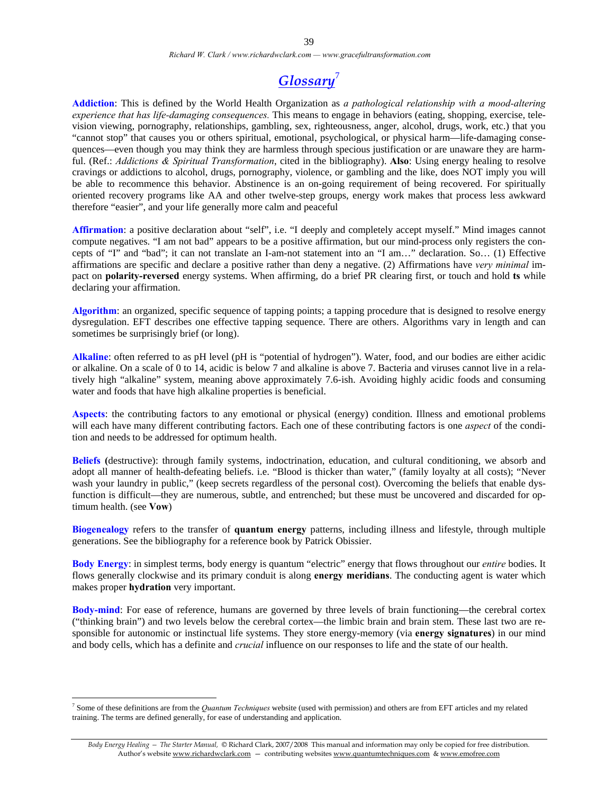*Richard W. Clark / www.richardwclark.com — www.gracefultransformation.com* 

## *Glossary*<sup>7</sup>

**Addiction**: This is defined by the World Health Organization as *a pathological relationship with a mood-altering experience that has life-damaging consequences.* This means to engage in behaviors (eating, shopping, exercise, television viewing, pornography, relationships, gambling, sex, righteousness, anger, alcohol, drugs, work, etc.) that you "cannot stop" that causes you or others spiritual, emotional, psychological, or physical harm—life-damaging consequences—even though you may think they are harmless through specious justification or are unaware they are harmful. (Ref.: *Addictions & Spiritual Transformation*, cited in the bibliography). **Also**: Using energy healing to resolve cravings or addictions to alcohol, drugs, pornography, violence, or gambling and the like, does NOT imply you will be able to recommence this behavior. Abstinence is an on-going requirement of being recovered. For spiritually oriented recovery programs like AA and other twelve-step groups, energy work makes that process less awkward therefore "easier", and your life generally more calm and peaceful

**Affirmation**: a positive declaration about "self", i.e. "I deeply and completely accept myself." Mind images cannot compute negatives. "I am not bad" appears to be a positive affirmation, but our mind-process only registers the concepts of "I" and "bad"; it can not translate an I-am-not statement into an "I am…" declaration. So… (1) Effective affirmations are specific and declare a positive rather than deny a negative. (2) Affirmations have *very minimal* impact on **polarity-reversed** energy systems. When affirming, do a brief PR clearing first, or touch and hold **ts** while declaring your affirmation.

**Algorithm**: an organized, specific sequence of tapping points; a tapping procedure that is designed to resolve energy dysregulation. EFT describes one effective tapping sequence. There are others. Algorithms vary in length and can sometimes be surprisingly brief (or long).

**Alkaline**: often referred to as pH level (pH is "potential of hydrogen"). Water, food, and our bodies are either acidic or alkaline. On a scale of 0 to 14, acidic is below 7 and alkaline is above 7. Bacteria and viruses cannot live in a relatively high "alkaline" system, meaning above approximately 7.6-ish. Avoiding highly acidic foods and consuming water and foods that have high alkaline properties is beneficial.

**Aspects**: the contributing factors to any emotional or physical (energy) condition. Illness and emotional problems will each have many different contributing factors. Each one of these contributing factors is one *aspect* of the condition and needs to be addressed for optimum health.

**Beliefs (**destructive): through family systems, indoctrination, education, and cultural conditioning, we absorb and adopt all manner of health-defeating beliefs. i.e. "Blood is thicker than water," (family loyalty at all costs); "Never wash your laundry in public," (keep secrets regardless of the personal cost). Overcoming the beliefs that enable dysfunction is difficult—they are numerous, subtle, and entrenched; but these must be uncovered and discarded for optimum health. (see **Vow**)

**Biogenealogy** refers to the transfer of **quantum energy** patterns, including illness and lifestyle, through multiple generations. See the bibliography for a reference book by Patrick Obissier.

**Body Energy**: in simplest terms, body energy is quantum "electric" energy that flows throughout our *entire* bodies. It flows generally clockwise and its primary conduit is along **energy meridians**. The conducting agent is water which makes proper **hydration** very important.

**Body-mind**: For ease of reference, humans are governed by three levels of brain functioning—the cerebral cortex ("thinking brain") and two levels below the cerebral cortex—the limbic brain and brain stem. These last two are responsible for autonomic or instinctual life systems. They store energy-memory (via **energy signatures**) in our mind and body cells, which has a definite and *crucial* influence on our responses to life and the state of our health.

 $\overline{a}$ 

<sup>7</sup> Some of these definitions are from the *Quantum Techniques* website (used with permission) and others are from EFT articles and my related training. The terms are defined generally, for ease of understanding and application.

*Body Energy Healing — The Starter Manual,* © Richard Clark, 2007/2008 This manual and information may only be copied for free distribution. Author's website www.richardwclark.com - contributing websites www.quantumtechniques.com & www.emofree.com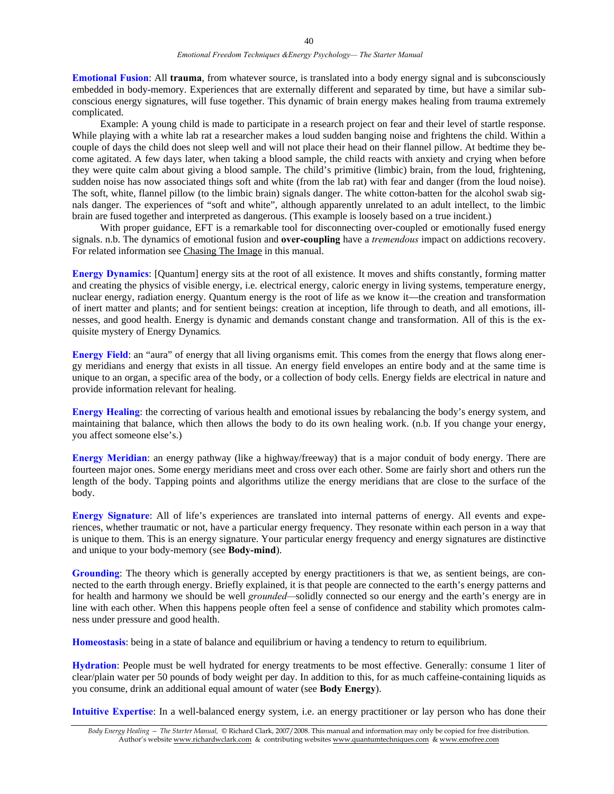**Emotional Fusion**: All **trauma**, from whatever source, is translated into a body energy signal and is subconsciously embedded in body-memory. Experiences that are externally different and separated by time, but have a similar subconscious energy signatures, will fuse together. This dynamic of brain energy makes healing from trauma extremely complicated.

 Example: A young child is made to participate in a research project on fear and their level of startle response. While playing with a white lab rat a researcher makes a loud sudden banging noise and frightens the child. Within a couple of days the child does not sleep well and will not place their head on their flannel pillow. At bedtime they become agitated. A few days later, when taking a blood sample, the child reacts with anxiety and crying when before they were quite calm about giving a blood sample. The child's primitive (limbic) brain, from the loud, frightening, sudden noise has now associated things soft and white (from the lab rat) with fear and danger (from the loud noise). The soft, white, flannel pillow (to the limbic brain) signals danger. The white cotton-batten for the alcohol swab signals danger. The experiences of "soft and white", although apparently unrelated to an adult intellect, to the limbic brain are fused together and interpreted as dangerous. (This example is loosely based on a true incident.)

With proper guidance, EFT is a remarkable tool for disconnecting over-coupled or emotionally fused energy signals. n.b. The dynamics of emotional fusion and **over-coupling** have a *tremendous* impact on addictions recovery. For related information see Chasing The Image in this manual.

**Energy Dynamics**: [Quantum] energy sits at the root of all existence. It moves and shifts constantly, forming matter and creating the physics of visible energy, i.e. electrical energy, caloric energy in living systems, temperature energy, nuclear energy, radiation energy. Quantum energy is the root of life as we know it—the creation and transformation of inert matter and plants; and for sentient beings: creation at inception, life through to death, and all emotions, illnesses, and good health. Energy is dynamic and demands constant change and transformation. All of this is the exquisite mystery of Energy Dynamics*.*

**Energy Field**: an "aura" of energy that all living organisms emit. This comes from the energy that flows along energy meridians and energy that exists in all tissue. An energy field envelopes an entire body and at the same time is unique to an organ, a specific area of the body, or a collection of body cells. Energy fields are electrical in nature and provide information relevant for healing.

**Energy Healing**: the correcting of various health and emotional issues by rebalancing the body's energy system, and maintaining that balance, which then allows the body to do its own healing work. (n.b. If you change your energy, you affect someone else's.)

**Energy Meridian**: an energy pathway (like a highway/freeway) that is a major conduit of body energy. There are fourteen major ones. Some energy meridians meet and cross over each other. Some are fairly short and others run the length of the body. Tapping points and algorithms utilize the energy meridians that are close to the surface of the body.

**Energy Signature**: All of life's experiences are translated into internal patterns of energy. All events and experiences, whether traumatic or not, have a particular energy frequency. They resonate within each person in a way that is unique to them. This is an energy signature. Your particular energy frequency and energy signatures are distinctive and unique to your body-memory (see **Body-mind**).

**Grounding**: The theory which is generally accepted by energy practitioners is that we, as sentient beings, are connected to the earth through energy. Briefly explained, it is that people are connected to the earth's energy patterns and for health and harmony we should be well *grounded—*solidly connected so our energy and the earth's energy are in line with each other. When this happens people often feel a sense of confidence and stability which promotes calmness under pressure and good health.

**Homeostasis**: being in a state of balance and equilibrium or having a tendency to return to equilibrium.

**Hydration**: People must be well hydrated for energy treatments to be most effective. Generally: consume 1 liter of clear/plain water per 50 pounds of body weight per day. In addition to this, for as much caffeine-containing liquids as you consume, drink an additional equal amount of water (see **Body Energy**).

**Intuitive Expertise**: In a well-balanced energy system, i.e. an energy practitioner or lay person who has done their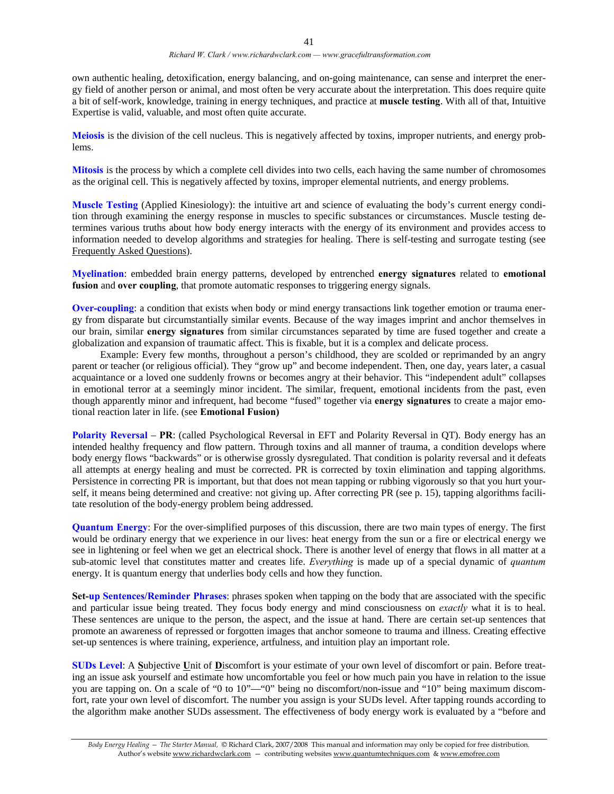own authentic healing, detoxification, energy balancing, and on-going maintenance, can sense and interpret the energy field of another person or animal, and most often be very accurate about the interpretation. This does require quite a bit of self-work, knowledge, training in energy techniques, and practice at **muscle testing**. With all of that, Intuitive Expertise is valid, valuable, and most often quite accurate.

**Meiosis** is the division of the cell nucleus. This is negatively affected by toxins, improper nutrients, and energy problems.

**Mitosis** is the process by which a complete cell divides into two cells, each having the same number of chromosomes as the original cell. This is negatively affected by toxins, improper elemental nutrients, and energy problems.

**Muscle Testing** (Applied Kinesiology): the intuitive art and science of evaluating the body's current energy condition through examining the energy response in muscles to specific substances or circumstances. Muscle testing determines various truths about how body energy interacts with the energy of its environment and provides access to information needed to develop algorithms and strategies for healing. There is self-testing and surrogate testing (see Frequently Asked Questions).

**Myelination**: embedded brain energy patterns, developed by entrenched **energy signatures** related to **emotional fusion** and **over coupling**, that promote automatic responses to triggering energy signals.

**Over-coupling**: a condition that exists when body or mind energy transactions link together emotion or trauma energy from disparate but circumstantially similar events. Because of the way images imprint and anchor themselves in our brain, similar **energy signatures** from similar circumstances separated by time are fused together and create a globalization and expansion of traumatic affect. This is fixable, but it is a complex and delicate process.

 Example: Every few months, throughout a person's childhood, they are scolded or reprimanded by an angry parent or teacher (or religious official). They "grow up" and become independent. Then, one day, years later, a casual acquaintance or a loved one suddenly frowns or becomes angry at their behavior. This "independent adult" collapses in emotional terror at a seemingly minor incident. The similar, frequent, emotional incidents from the past, even though apparently minor and infrequent, had become "fused" together via **energy signatures** to create a major emotional reaction later in life. (see **Emotional Fusion)**

**Polarity Reversal** – **PR**: (called Psychological Reversal in EFT and Polarity Reversal in QT). Body energy has an intended healthy frequency and flow pattern. Through toxins and all manner of trauma, a condition develops where body energy flows "backwards" or is otherwise grossly dysregulated. That condition is polarity reversal and it defeats all attempts at energy healing and must be corrected. PR is corrected by toxin elimination and tapping algorithms. Persistence in correcting PR is important, but that does not mean tapping or rubbing vigorously so that you hurt yourself, it means being determined and creative: not giving up. After correcting PR (see p. 15), tapping algorithms facilitate resolution of the body-energy problem being addressed.

**Quantum Energy**: For the over-simplified purposes of this discussion, there are two main types of energy. The first would be ordinary energy that we experience in our lives: heat energy from the sun or a fire or electrical energy we see in lightening or feel when we get an electrical shock. There is another level of energy that flows in all matter at a sub-atomic level that constitutes matter and creates life. *Everything* is made up of a special dynamic of *quantum* energy. It is quantum energy that underlies body cells and how they function.

**Set-up Sentences/Reminder Phrases**: phrases spoken when tapping on the body that are associated with the specific and particular issue being treated. They focus body energy and mind consciousness on *exactly* what it is to heal. These sentences are unique to the person, the aspect, and the issue at hand. There are certain set-up sentences that promote an awareness of repressed or forgotten images that anchor someone to trauma and illness. Creating effective set-up sentences is where training, experience, artfulness, and intuition play an important role.

**SUDs Level**: A **S**ubjective **U**nit of **D**iscomfort is your estimate of your own level of discomfort or pain. Before treating an issue ask yourself and estimate how uncomfortable you feel or how much pain you have in relation to the issue you are tapping on. On a scale of "0 to 10"—"0" being no discomfort/non-issue and "10" being maximum discomfort, rate your own level of discomfort. The number you assign is your SUDs level. After tapping rounds according to the algorithm make another SUDs assessment. The effectiveness of body energy work is evaluated by a "before and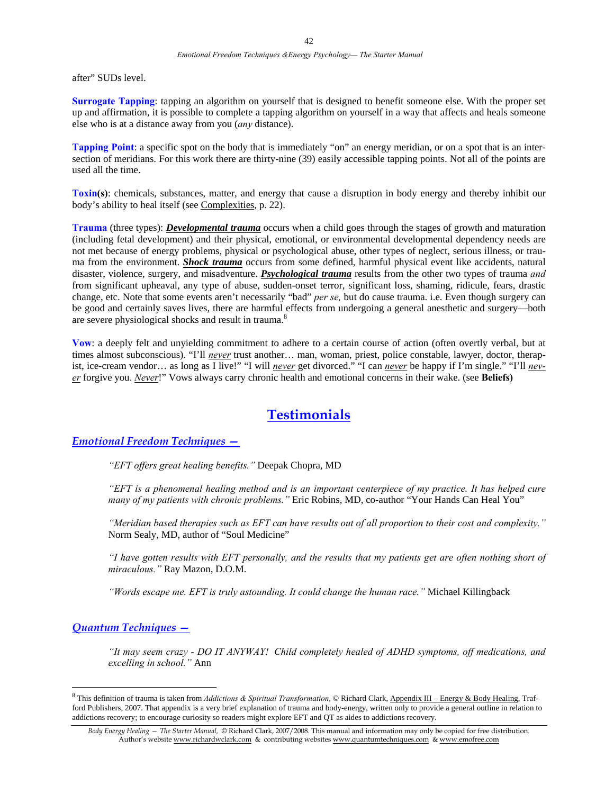after" SUDs level.

**Surrogate Tapping**: tapping an algorithm on yourself that is designed to benefit someone else. With the proper set up and affirmation, it is possible to complete a tapping algorithm on yourself in a way that affects and heals someone else who is at a distance away from you (*any* distance).

**Tapping Point**: a specific spot on the body that is immediately "on" an energy meridian, or on a spot that is an intersection of meridians. For this work there are thirty-nine (39) easily accessible tapping points. Not all of the points are used all the time.

**Toxin(s)**: chemicals, substances, matter, and energy that cause a disruption in body energy and thereby inhibit our body's ability to heal itself (see Complexities, p. 22).

**Trauma** (three types): *Developmental trauma* occurs when a child goes through the stages of growth and maturation (including fetal development) and their physical, emotional, or environmental developmental dependency needs are not met because of energy problems, physical or psychological abuse, other types of neglect, serious illness, or trauma from the environment. *Shock trauma* occurs from some defined, harmful physical event like accidents, natural disaster, violence, surgery, and misadventure. *Psychological trauma* results from the other two types of trauma *and* from significant upheaval, any type of abuse, sudden-onset terror, significant loss, shaming, ridicule, fears, drastic change, etc. Note that some events aren't necessarily "bad" *per se,* but do cause trauma. i.e. Even though surgery can be good and certainly saves lives, there are harmful effects from undergoing a general anesthetic and surgery—both are severe physiological shocks and result in trauma.<sup>8</sup>

**Vow**: a deeply felt and unyielding commitment to adhere to a certain course of action (often overtly verbal, but at times almost subconscious). "I'll *never* trust another… man, woman, priest, police constable, lawyer, doctor, therapist, ice-cream vendor... as long as I live!" "I will *never* get divorced." "I can *never* be happy if I'm single." "I'll *never* forgive you. *Never*!" Vows always carry chronic health and emotional concerns in their wake. (see **Beliefs)** 

### **Testimonials**

### *Emotional Freedom Techniques —*

*"EFT offers great healing benefits."* Deepak Chopra, MD

*"EFT is a phenomenal healing method and is an important centerpiece of my practice. It has helped cure many of my patients with chronic problems."* Eric Robins, MD, co-author "Your Hands Can Heal You"

*"Meridian based therapies such as EFT can have results out of all proportion to their cost and complexity."* Norm Sealy, MD, author of "Soul Medicine"

*"I have gotten results with EFT personally, and the results that my patients get are often nothing short of miraculous."* Ray Mazon, D.O.M.

*"Words escape me. EFT is truly astounding. It could change the human race."* Michael Killingback

#### *Quantum Techniques —*

 $\overline{a}$ 

*"It may seem crazy - DO IT ANYWAY! Child completely healed of ADHD symptoms, off medications, and excelling in school."* Ann

<sup>&</sup>lt;sup>8</sup> This definition of trauma is taken from *Addictions & Spiritual Transformation*, © Richard Clark, <u>Appendix III – Energy & Body Healing</u>, Trafford Publishers, 2007. That appendix is a very brief explanation of trauma and body-energy, written only to provide a general outline in relation to addictions recovery; to encourage curiosity so readers might explore EFT and QT as aides to addictions recovery.

*Body Energy Healing — The Starter Manual,* © Richard Clark, 2007/2008. This manual and information may only be copied for free distribution. Author's website www.richardwclark.com & contributing websites www.quantumtechniques.com & www.emofree.com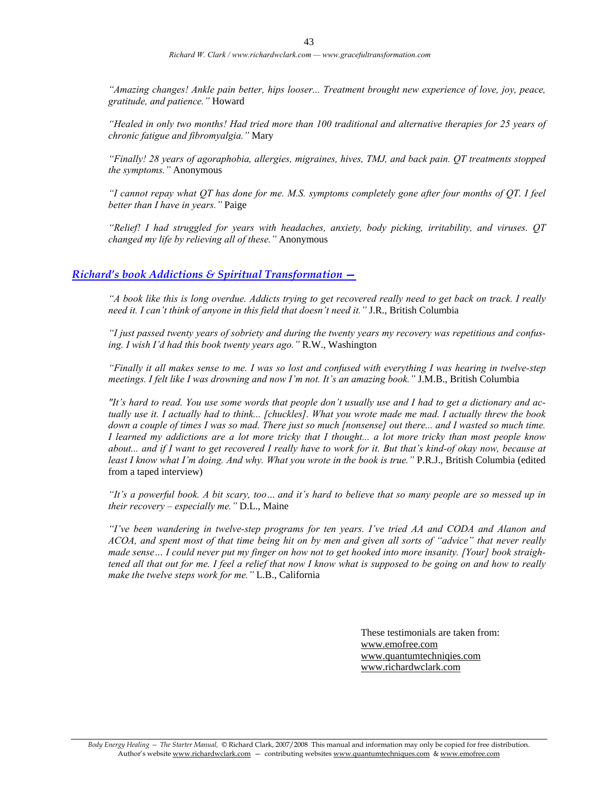*"Amazing changes! Ankle pain better, hips looser... Treatment brought new experience of love, joy, peace, gratitude, and patience."* Howard

*"Healed in only two months! Had tried more than 100 traditional and alternative therapies for 25 years of chronic fatigue and fibromyalgia."* Mary

*"Finally! 28 years of agoraphobia, allergies, migraines, hives, TMJ, and back pain. QT treatments stopped the symptoms."* Anonymous

*"I cannot repay what QT has done for me. M.S. symptoms completely gone after four months of QT. I feel better than I have in years."* Paige

*"Relief! I had struggled for years with headaches, anxiety, body picking, irritability, and viruses. QT changed my life by relieving all of these."* Anonymous

#### *Richard's book Addictions & Spiritual Transformation —*

*"A book like this is long overdue. Addicts trying to get recovered really need to get back on track. I really need it. I can't think of anyone in this field that doesn't need it."* J.R., British Columbia

*"I just passed twenty years of sobriety and during the twenty years my recovery was repetitious and confusing. I wish I'd had this book twenty years ago."* R.W., Washington

*"Finally it all makes sense to me. I was so lost and confused with everything I was hearing in twelve-step meetings. I felt like I was drowning and now I'm not. It's an amazing book."* J.M.B., British Columbia

*"It's hard to read. You use some words that people don't usually use and I had to get a dictionary and actually use it. I actually had to think... [chuckles]. What you wrote made me mad. I actually threw the book down a couple of times I was so mad. There just so much [nonsense] out there... and I wasted so much time. I learned my addictions are a lot more tricky that I thought... a lot more tricky than most people know about... and if I want to get recovered I really have to work for it. But that's kind-of okay now, because at least I know what I'm doing. And why. What you wrote in the book is true."* P.R.J., British Columbia (edited from a taped interview)

*"It's a powerful book. A bit scary, too… and it's hard to believe that so many people are so messed up in their recovery – especially me."* D.L., Maine

*"I've been wandering in twelve-step programs for ten years. I've tried AA and CODA and Alanon and ACOA, and spent most of that time being hit on by men and given all sorts of "advice" that never really made sense… I could never put my finger on how not to get hooked into more insanity. [Your] book straightened all that out for me. I feel a relief that now I know what is supposed to be going on and how to really make the twelve steps work for me."* L.B., California

> These testimonials are taken from: www.emofree.com www.quantumtechniqies.com www.richardwclark.com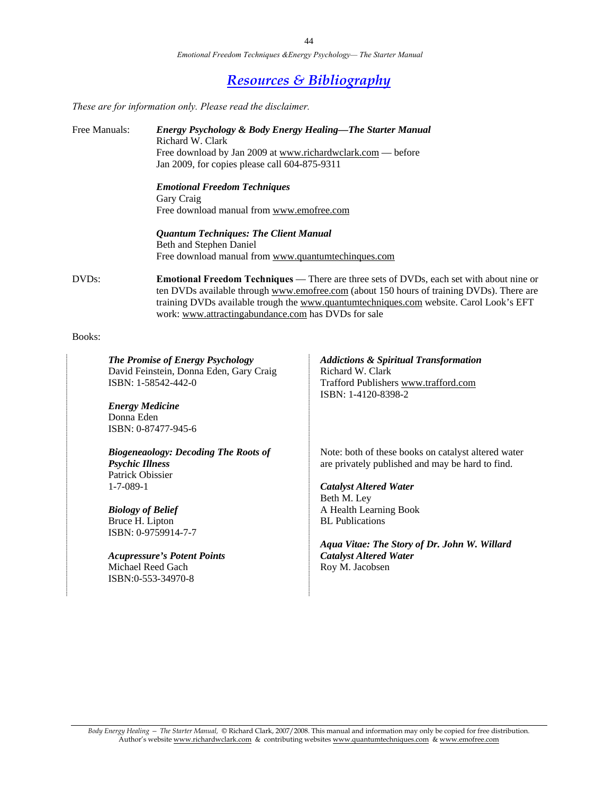*Emotional Freedom Techniques &Energy Psychology— The Starter Manual* 

### *Resources & Bibliography*

*These are for information only. Please read the disclaimer.* 

Free Manuals: *Energy Psychology & Body Energy Healing—The Starter Manual*  Richard W. Clark Free download by Jan 2009 at www.richardwclark.com — before Jan 2009, for copies please call 604-875-9311  *Emotional Freedom Techniques* Gary Craig Free download manual from www.emofree.com  *Quantum Techniques: The Client Manual* Beth and Stephen Daniel Free download manual from www.quantumtechinques.com DVDs: **Emotional Freedom Techniques** — There are three sets of DVDs, each set with about nine or ten DVDs available through www.emofree.com (about 150 hours of training DVDs). There are training DVDs available trough the www.quantumtechniques.com website. Carol Look's EFT work: www.attractingabundance.com has DVDs for sale

#### Books:

*The Promise of Energy Psychology*  David Feinstein, Donna Eden, Gary Craig ISBN: 1-58542-442-0

*Energy Medicine*  Donna Eden ISBN: 0-87477-945-6

*Biogeneaology: Decoding The Roots of Psychic Illness*  Patrick Obissier 1-7-089-1

*Biology of Belief*  Bruce H. Lipton ISBN: 0-9759914-7-7

*Acupressure's Potent Points*  Michael Reed Gach ISBN:0-553-34970-8

*Addictions & Spiritual Transformation*  Richard W. Clark Trafford Publishers www.trafford.com ISBN: 1-4120-8398-2

Note: both of these books on catalyst altered water are privately published and may be hard to find.

*Catalyst Altered Water* Beth M. Ley A Health Learning Book BL Publications

*Aqua Vitae: The Story of Dr. John W. Willard Catalyst Altered Water*  Roy M. Jacobsen